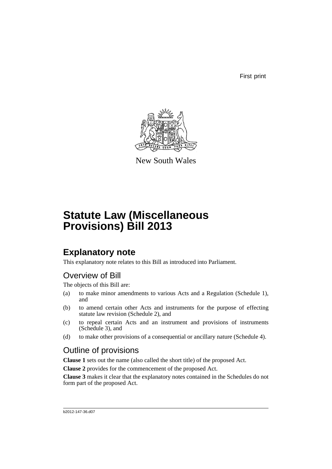First print



New South Wales

# **Statute Law (Miscellaneous Provisions) Bill 2013**

## **Explanatory note**

This explanatory note relates to this Bill as introduced into Parliament.

## Overview of Bill

The objects of this Bill are:

- (a) to make minor amendments to various Acts and a Regulation (Schedule 1), and
- (b) to amend certain other Acts and instruments for the purpose of effecting statute law revision (Schedule 2), and
- (c) to repeal certain Acts and an instrument and provisions of instruments (Schedule 3), and
- (d) to make other provisions of a consequential or ancillary nature (Schedule 4).

## Outline of provisions

**Clause 1** sets out the name (also called the short title) of the proposed Act.

**Clause 2** provides for the commencement of the proposed Act.

**Clause 3** makes it clear that the explanatory notes contained in the Schedules do not form part of the proposed Act.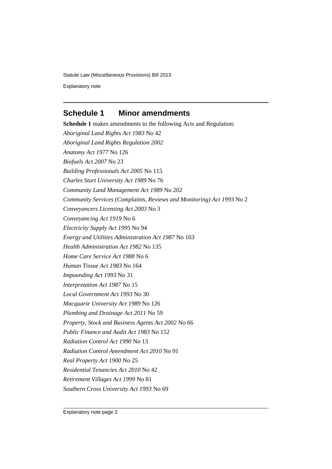Explanatory note

## **Schedule 1 Minor amendments**

**Schedule 1** makes amendments to the following Acts and Regulation: *Aboriginal Land Rights Act 1983* No 42 *Aboriginal Land Rights Regulation 2002 Anatomy Act 1977* No 126 *Biofuels Act 2007* No 23 *Building Professionals Act 2005* No 115 *Charles Sturt University Act 1989* No 76 *Community Land Management Act 1989* No 202 *Community Services (Complaints, Reviews and Monitoring) Act 1993* No 2 *Conveyancers Licensing Act 2003* No 3 *Conveyancing Act 1919* No 6 *Electricity Supply Act 1995* No 94 *Energy and Utilities Administration Act 1987* No 103 *Health Administration Act 1982* No 135 *Home Care Service Act 1988* No 6 *Human Tissue Act 1983* No 164 *Impounding Act 1993* No 31 *Interpretation Act 1987* No 15 *Local Government Act 1993* No 30 *Macquarie University Act 1989* No 126 *Plumbing and Drainage Act 2011* No 59 *Property, Stock and Business Agents Act 2002* No 66 *Public Finance and Audit Act 1983* No 152 *Radiation Control Act 1990* No 13 *Radiation Control Amendment Act 2010* No 91 *Real Property Act 1900* No 25 *Residential Tenancies Act 2010* No 42 *Retirement Villages Act 1999* No 81 *Southern Cross University Act 1993* No 69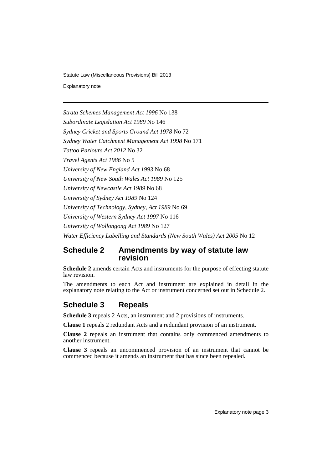Explanatory note

*Strata Schemes Management Act 1996* No 138 *Subordinate Legislation Act 1989* No 146 *Sydney Cricket and Sports Ground Act 1978* No 72 *Sydney Water Catchment Management Act 1998* No 171 *Tattoo Parlours Act 2012* No 32 *Travel Agents Act 1986* No 5 *University of New England Act 1993* No 68 *University of New South Wales Act 1989* No 125 *University of Newcastle Act 1989* No 68 *University of Sydney Act 1989* No 124 *University of Technology, Sydney, Act 1989* No 69 *University of Western Sydney Act 1997* No 116 *University of Wollongong Act 1989* No 127 *Water Efficiency Labelling and Standards (New South Wales) Act 2005* No 12

## **Schedule 2 Amendments by way of statute law revision**

**Schedule 2** amends certain Acts and instruments for the purpose of effecting statute law revision.

The amendments to each Act and instrument are explained in detail in the explanatory note relating to the Act or instrument concerned set out in Schedule 2.

## **Schedule 3 Repeals**

**Schedule 3** repeals 2 Acts, an instrument and 2 provisions of instruments.

**Clause 1** repeals 2 redundant Acts and a redundant provision of an instrument.

**Clause 2** repeals an instrument that contains only commenced amendments to another instrument.

**Clause 3** repeals an uncommenced provision of an instrument that cannot be commenced because it amends an instrument that has since been repealed.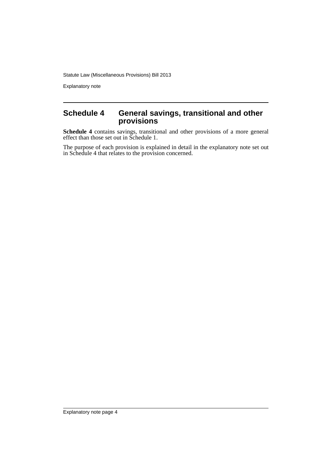Explanatory note

### **Schedule 4 General savings, transitional and other provisions**

**Schedule 4** contains savings, transitional and other provisions of a more general effect than those set out in Schedule 1.

The purpose of each provision is explained in detail in the explanatory note set out in Schedule 4 that relates to the provision concerned.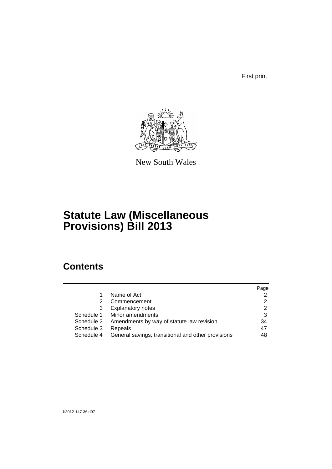First print



New South Wales

# **Statute Law (Miscellaneous Provisions) Bill 2013**

## **Contents**

|            |                                                    | Page |
|------------|----------------------------------------------------|------|
|            | Name of Act                                        | 2    |
| 2          | Commencement                                       | 2    |
| 3          | <b>Explanatory notes</b>                           | 2    |
| Schedule 1 | Minor amendments                                   | 3    |
| Schedule 2 | Amendments by way of statute law revision          | 34   |
| Schedule 3 | Repeals                                            | 47   |
| Schedule 4 | General savings, transitional and other provisions | 48   |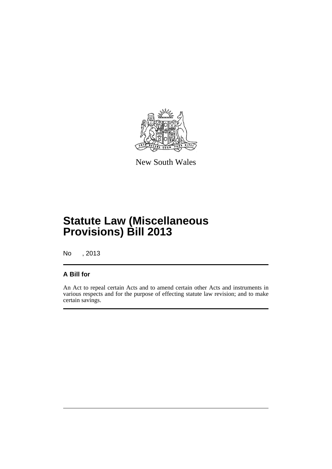

New South Wales

# **Statute Law (Miscellaneous Provisions) Bill 2013**

No , 2013

## **A Bill for**

An Act to repeal certain Acts and to amend certain other Acts and instruments in various respects and for the purpose of effecting statute law revision; and to make certain savings.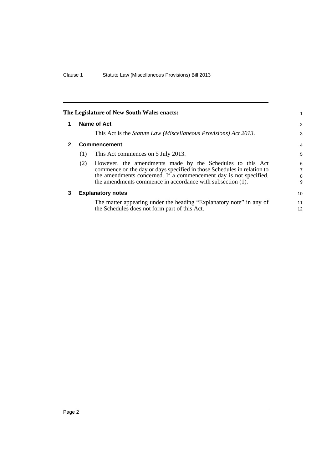<span id="page-7-2"></span><span id="page-7-1"></span><span id="page-7-0"></span>

|              |     | The Legislature of New South Wales enacts:                                                                                                                                                                                                                              | 1                |
|--------------|-----|-------------------------------------------------------------------------------------------------------------------------------------------------------------------------------------------------------------------------------------------------------------------------|------------------|
| 1            |     | Name of Act                                                                                                                                                                                                                                                             | $\overline{2}$   |
|              |     | This Act is the <i>Statute Law</i> ( <i>Miscellaneous Provisions</i> ) Act 2013.                                                                                                                                                                                        | 3                |
| $\mathbf{2}$ |     | <b>Commencement</b>                                                                                                                                                                                                                                                     | $\overline{4}$   |
|              | (1) | This Act commences on 5 July 2013.                                                                                                                                                                                                                                      | 5                |
|              | (2) | However, the amendments made by the Schedules to this Act<br>commence on the day or days specified in those Schedules in relation to<br>the amendments concerned. If a commencement day is not specified,<br>the amendments commence in accordance with subsection (1). | 6<br>7<br>8<br>9 |
| 3            |     | <b>Explanatory notes</b>                                                                                                                                                                                                                                                | 10               |
|              |     | The matter appearing under the heading "Explanatory note" in any of<br>the Schedules does not form part of this Act.                                                                                                                                                    | 11<br>12         |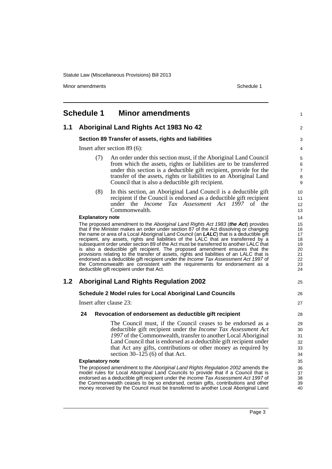Minor amendments **Schedule 1** 

<span id="page-8-0"></span>

|     | Schedule 1              | <b>Minor amendments</b>                                                                                                                                                                                                                                                                                                                                                                                                                                                                                                                                                                                                                                                                                                                                                                                                                                      | 1                                                        |
|-----|-------------------------|--------------------------------------------------------------------------------------------------------------------------------------------------------------------------------------------------------------------------------------------------------------------------------------------------------------------------------------------------------------------------------------------------------------------------------------------------------------------------------------------------------------------------------------------------------------------------------------------------------------------------------------------------------------------------------------------------------------------------------------------------------------------------------------------------------------------------------------------------------------|----------------------------------------------------------|
| 1.1 |                         | Aboriginal Land Rights Act 1983 No 42                                                                                                                                                                                                                                                                                                                                                                                                                                                                                                                                                                                                                                                                                                                                                                                                                        | $\overline{2}$                                           |
|     |                         | Section 89 Transfer of assets, rights and liabilities                                                                                                                                                                                                                                                                                                                                                                                                                                                                                                                                                                                                                                                                                                                                                                                                        | 3                                                        |
|     |                         | Insert after section 89 (6):                                                                                                                                                                                                                                                                                                                                                                                                                                                                                                                                                                                                                                                                                                                                                                                                                                 | 4                                                        |
|     | (7)                     | An order under this section must, if the Aboriginal Land Council<br>from which the assets, rights or liabilities are to be transferred<br>under this section is a deductible gift recipient, provide for the<br>transfer of the assets, rights or liabilities to an Aboriginal Land<br>Council that is also a deductible gift recipient.                                                                                                                                                                                                                                                                                                                                                                                                                                                                                                                     | 5<br>6<br>$\boldsymbol{7}$<br>8<br>9                     |
|     | (8)                     | In this section, an Aboriginal Land Council is a deductible gift<br>recipient if the Council is endorsed as a deductible gift recipient<br>under the <i>Income Tax Assessment Act 1997</i> of the<br>Commonwealth.                                                                                                                                                                                                                                                                                                                                                                                                                                                                                                                                                                                                                                           | 10<br>11<br>12<br>13                                     |
|     | <b>Explanatory note</b> |                                                                                                                                                                                                                                                                                                                                                                                                                                                                                                                                                                                                                                                                                                                                                                                                                                                              | 14                                                       |
|     |                         | The proposed amendment to the Aboriginal Land Rights Act 1983 ( <b>the Act</b> ) provides<br>that if the Minister makes an order under section 87 of the Act dissolving or changing<br>the name or area of a Local Aboriginal Land Council (an LALC) that is a deductible gift<br>recipient, any assets, rights and liabilities of the LALC that are transferred by a<br>subsequent order under section 89 of the Act must be transferred to another LALC that<br>is also a deductible gift recipient. The proposed amendment ensures that the<br>provisions relating to the transfer of assets, rights and liabilities of an LALC that is<br>endorsed as a deductible gift recipient under the Income Tax Assessment Act 1997 of<br>the Commonwealth are consistent with the requirements for endorsement as a<br>deductible gift recipient under that Act. | 15<br>16<br>17<br>18<br>19<br>20<br>21<br>22<br>23<br>24 |
| 1.2 |                         | <b>Aboriginal Land Rights Regulation 2002</b>                                                                                                                                                                                                                                                                                                                                                                                                                                                                                                                                                                                                                                                                                                                                                                                                                | 25                                                       |
|     |                         | Schedule 2 Model rules for Local Aboriginal Land Councils                                                                                                                                                                                                                                                                                                                                                                                                                                                                                                                                                                                                                                                                                                                                                                                                    | 26                                                       |
|     | Insert after clause 23: |                                                                                                                                                                                                                                                                                                                                                                                                                                                                                                                                                                                                                                                                                                                                                                                                                                                              | 27                                                       |
|     | 24                      | Revocation of endorsement as deductible gift recipient                                                                                                                                                                                                                                                                                                                                                                                                                                                                                                                                                                                                                                                                                                                                                                                                       | 28                                                       |
|     | <b>Explanatory note</b> | The Council must, if the Council ceases to be endorsed as a<br>deductible gift recipient under the <i>Income Tax Assessment Act</i><br>1997 of the Commonwealth, transfer to another Local Aboriginal<br>Land Council that is endorsed as a deductible gift recipient under<br>that Act any gifts, contributions or other money as required by<br>section $30-125$ (6) of that Act.<br>The proposed amendment to the Aboriginal Land Rights Regulation 2002 amends the                                                                                                                                                                                                                                                                                                                                                                                       | 29<br>30<br>31<br>32<br>33<br>34<br>35<br>36             |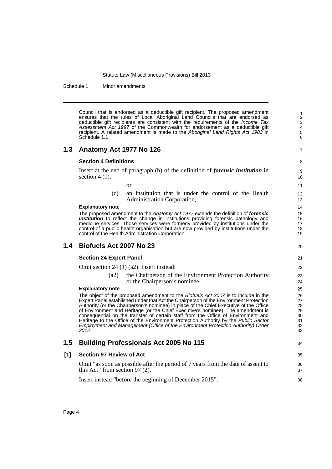Schedule 1 Minor amendments

Council that is endorsed as a deductible gift recipient. The proposed amendment ensures that the rules of Local Aboriginal Land Councils that are endorsed as deductible gift recipients are consistent with the requirements of the *Income Tax Assessment Act 1997* of the Commonwealth for endorsement as a deductible gift recipient. A related amendment is made to the *Aboriginal Land Rights Act 1983* in Schedule 1.1.

### **1.3 Anatomy Act 1977 No 126**

#### **Section 4 Definitions**

Insert at the end of paragraph (b) of the definition of *forensic institution* in section  $4(1)$ :

- or
- (c) an institution that is under the control of the Health Administration Corporation,

#### **Explanatory note**

The proposed amendment to the *Anatomy Act 1977* extends the definition of *forensic institution* to reflect the change in institutions providing forensic pathology and medicine services. Those services were formerly provided by institutions under the control of a public health organisation but are now provided by institutions under the control of the Health Administration Corporation.

#### **1.4 Biofuels Act 2007 No 23**

#### **Section 24 Expert Panel**

Omit section 24 (1) (a2). Insert instead:

(a2) the Chairperson of the Environment Protection Authority or the Chairperson's nominee,

#### **Explanatory note**

The object of the proposed amendment to the *Biofuels Act 2007* is to include in the Expert Panel established under that Act the Chairperson of the Environment Protection Authority (or the Chairperson's nominee) in place of the Chief Executive of the Office of Environment and Heritage (or the Chief Executive's nominee). The amendment is consequential on the transfer of certain staff from the Office of Environment and Heritage to the Office of the Environment Protection Authority by the *Public Sector Employment and Management (Office of the Environment Protection Authority) Order 2012*.

### **1.5 Building Professionals Act 2005 No 115**

# 34

7

 $20$ 

# **[1] Section 97 Review of Act**

Omit "as soon as possible after the period of 7 years from the date of assent to this Act" from section 97 (2).

Insert instead "before the beginning of December 2015".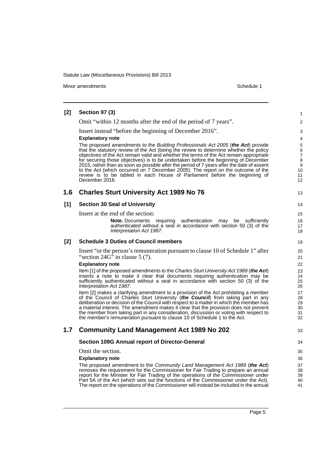Minor amendments **Schedule 1** and the state of the state of the state of the Schedule 1

#### **[2] Section 97 (3)** Omit "within 12 months after the end of the period of 7 years". Insert instead "before the beginning of December 2016". **Explanatory note** The proposed amendments to the *Building Professionals Act 2005* (*the Act*) provide that the statutory review of the Act (being the review to determine whether the policy objectives of the Act remain valid and whether the terms of the Act remain appropriate for securing those objectives) is to be undertaken before the beginning of December 2015, rather than as soon as possible after the period of 7 years after the date of assent to the Act (which occurred on 7 December 2005). The report on the outcome of the review is to be tabled in each House of Parliament before the beginning of December 2016. **1.6 Charles Sturt University Act 1989 No 76 [1] Section 30 Seal of University** Insert at the end of the section: **Note.** Documents requiring authentication may be sufficiently authenticated without a seal in accordance with section 50 (3) of the *Interpretation Act 1987*. **[2] Schedule 3 Duties of Council members** Insert "or the person's remuneration pursuant to clause 10 of Schedule 1" after "section  $24G<sup>5</sup>$  in clause 5 (7). **Explanatory note** Item [1] of the proposed amendments to the *Charles Sturt University Act 1989* (*the Act*) inserts a note to make it clear that documents requiring authentication may be sufficiently authenticated without a seal in accordance with section 50 (3) of the *Interpretation Act 1987*. Item [2] makes a clarifying amendment to a provision of the Act prohibiting a member of the Council of Charles Sturt University (*the Council*) from taking part in any deliberation or decision of the Council with respect to a matter in which the member has a material interest. The amendment makes it clear that the provision does not prevent the member from taking part in any consideration, discussion or voting with respect to the member's remuneration pursuant to clause 10 of Schedule 1 to the Act. **1.7 Community Land Management Act 1989 No 202 Section 109G Annual report of Director-General** Omit the section. **Explanatory note** The proposed amendment to the *Community Land Management Act 1989* (*the Act*) removes the requirement for the Commissioner for Fair Trading to prepare an annual report for the Minister for Fair Trading of the operations of the Commissioner under Part 5A of the Act (which sets out the functions of the Commissioner under the Act). The report on the operations of the Commissioner will instead be included in the annual 1  $\mathfrak{p}$ 3 4 5 6 7 8 9 10 11 12 13 14 15 16 17 18 19  $20$ 21 22 23 24 25 26 27 28 29 30 31 32 33 34 35 36 37 38 39 40 41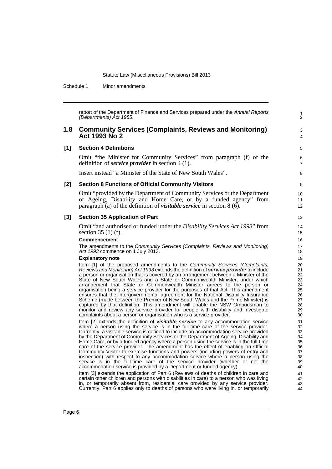Schedule 1 Minor amendments

report of the Department of Finance and Services prepared under the *Annual Reports (Departments) Act 1985*.

1 2

3 4

### **1.8 Community Services (Complaints, Reviews and Monitoring) Act 1993 No 2**

### **[1] Section 4 Definitions**

Omit "the Minister for Community Services" from paragraph (f) of the definition of *service provider* in section 4 (1).

Insert instead "a Minister of the State of New South Wales".

#### **[2] Section 8 Functions of Official Community Visitors**

Omit "provided by the Department of Community Services or the Department of Ageing, Disability and Home Care, or by a funded agency" from paragraph (a) of the definition of *visitable service* in section 8 (6).

#### **[3] Section 35 Application of Part**

Omit "and authorised or funded under the *Disability Services Act 1993*" from section 35 (1) (f).

#### **Commencement**

The amendments to the *Community Services (Complaints, Reviews and Monitoring) Act 1993* commence on 1 July 2013.

#### **Explanatory note**

Item [1] of the proposed amendments to the *Community Services (Complaints, Reviews and Monitoring) Act 1993* extends the definition of *service provider* to include a person or organisation that is covered by an arrangement between a Minister of the State of New South Wales and a State or Commonwealth Minister, under which arrangement that State or Commonwealth Minister agrees to the person or organisation being a service provider for the purposes of that Act. This amendment ensures that the intergovernmental agreement for the National Disability Insurance Scheme (made between the Premier of New South Wales and the Prime Minister) is captured by that definition. This amendment will enable the NSW Ombudsman to monitor and review any service provider for people with disability and investigate complaints about a person or organisation who is a service provider.

Item [2] extends the definition of *visitable service* to any accommodation service where a person using the service is in the full-time care of the service provider. Currently, a visitable service is defined to include an accommodation service provided by the Department of Community Services or the Department of Ageing, Disability and Home Care, or by a funded agency where a person using the service is in the full-time care of the service provider. The amendment has the effect of enabling an Official Community Visitor to exercise functions and powers (including powers of entry and inspection) with respect to any accommodation service where a person using the service is in the full-time care of the service provider (whether or not the accommodation service is provided by a Department or funded agency).

Item [3] extends the application of Part 6 (Reviews of deaths of children in care and certain other children and persons with disabilities in care) to a person who was living in, or temporarily absent from, residential care provided by any service provider. Currently, Part 6 applies only to deaths of persons who were living in, or temporarily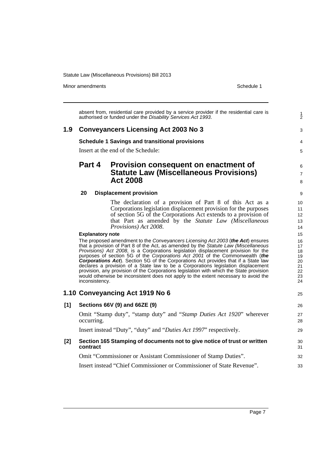Minor amendments **Schedule 1** 

|       |                                           | absent from, residential care provided by a service provider if the residential care is<br>authorised or funded under the Disability Services Act 1993.                                                                                                                                                                                                                                                                                                                                                                                                                                                                                                                                                                                                                                                                                                                                                                                                                                                  | $\frac{1}{2}$                                                                          |
|-------|-------------------------------------------|----------------------------------------------------------------------------------------------------------------------------------------------------------------------------------------------------------------------------------------------------------------------------------------------------------------------------------------------------------------------------------------------------------------------------------------------------------------------------------------------------------------------------------------------------------------------------------------------------------------------------------------------------------------------------------------------------------------------------------------------------------------------------------------------------------------------------------------------------------------------------------------------------------------------------------------------------------------------------------------------------------|----------------------------------------------------------------------------------------|
| 1.9   |                                           | <b>Conveyancers Licensing Act 2003 No 3</b>                                                                                                                                                                                                                                                                                                                                                                                                                                                                                                                                                                                                                                                                                                                                                                                                                                                                                                                                                              | 3                                                                                      |
|       |                                           | <b>Schedule 1 Savings and transitional provisions</b>                                                                                                                                                                                                                                                                                                                                                                                                                                                                                                                                                                                                                                                                                                                                                                                                                                                                                                                                                    | 4                                                                                      |
|       |                                           | Insert at the end of the Schedule:                                                                                                                                                                                                                                                                                                                                                                                                                                                                                                                                                                                                                                                                                                                                                                                                                                                                                                                                                                       | 5                                                                                      |
|       | Part 4                                    | Provision consequent on enactment of<br><b>Statute Law (Miscellaneous Provisions)</b><br><b>Act 2008</b>                                                                                                                                                                                                                                                                                                                                                                                                                                                                                                                                                                                                                                                                                                                                                                                                                                                                                                 | 6<br>$\overline{7}$<br>8                                                               |
|       | 20                                        | <b>Displacement provision</b>                                                                                                                                                                                                                                                                                                                                                                                                                                                                                                                                                                                                                                                                                                                                                                                                                                                                                                                                                                            | 9                                                                                      |
|       | <b>Explanatory note</b><br>inconsistency. | The declaration of a provision of Part 8 of this Act as a<br>Corporations legislation displacement provision for the purposes<br>of section 5G of the Corporations Act extends to a provision of<br>that Part as amended by the Statute Law (Miscellaneous<br>Provisions) Act 2008.<br>The proposed amendment to the Conveyancers Licensing Act 2003 (the Act) ensures<br>that a provision of Part 8 of the Act, as amended by the Statute Law (Miscellaneous<br>Provisions) Act 2008, is a Corporations legislation displacement provision for the<br>purposes of section 5G of the Corporations Act 2001 of the Commonwealth (the<br><b>Corporations Act</b> ). Section 5G of the Corporations Act provides that if a State law<br>declares a provision of a State law to be a Corporations legislation displacement<br>provision, any provision of the Corporations legislation with which the State provision<br>would otherwise be inconsistent does not apply to the extent necessary to avoid the | 10<br>11<br>12<br>13<br>14<br>15<br>16<br>17<br>18<br>19<br>20<br>21<br>22<br>23<br>24 |
|       |                                           | 1.10 Conveyancing Act 1919 No 6                                                                                                                                                                                                                                                                                                                                                                                                                                                                                                                                                                                                                                                                                                                                                                                                                                                                                                                                                                          | 25                                                                                     |
| [1]   |                                           | Sections 66V (9) and 66ZE (9)                                                                                                                                                                                                                                                                                                                                                                                                                                                                                                                                                                                                                                                                                                                                                                                                                                                                                                                                                                            | 26                                                                                     |
|       | occurring.                                | Omit "Stamp duty", "stamp duty" and "Stamp Duties Act 1920" wherever                                                                                                                                                                                                                                                                                                                                                                                                                                                                                                                                                                                                                                                                                                                                                                                                                                                                                                                                     | 27<br>28                                                                               |
|       |                                           | Insert instead "Duty", "duty" and "Duties Act 1997" respectively.                                                                                                                                                                                                                                                                                                                                                                                                                                                                                                                                                                                                                                                                                                                                                                                                                                                                                                                                        | 29                                                                                     |
| $[2]$ | contract                                  | Section 165 Stamping of documents not to give notice of trust or written                                                                                                                                                                                                                                                                                                                                                                                                                                                                                                                                                                                                                                                                                                                                                                                                                                                                                                                                 | 30<br>31                                                                               |
|       |                                           | Omit "Commissioner or Assistant Commissioner of Stamp Duties".                                                                                                                                                                                                                                                                                                                                                                                                                                                                                                                                                                                                                                                                                                                                                                                                                                                                                                                                           | 32                                                                                     |
|       |                                           | Insert instead "Chief Commissioner or Commissioner of State Revenue".                                                                                                                                                                                                                                                                                                                                                                                                                                                                                                                                                                                                                                                                                                                                                                                                                                                                                                                                    | 33                                                                                     |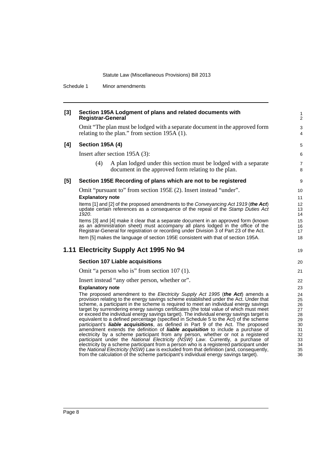Schedule 1 Minor amendments

| $[3]$ | Section 195A Lodgment of plans and related documents with<br><b>Registrar-General</b>                                                                                                                                                                              | 1<br>$\overline{2}$ |
|-------|--------------------------------------------------------------------------------------------------------------------------------------------------------------------------------------------------------------------------------------------------------------------|---------------------|
|       | Omit "The plan must be lodged with a separate document in the approved form<br>relating to the plan." from section 195A (1).                                                                                                                                       | 3<br>4              |
| [4]   | <b>Section 195A (4)</b>                                                                                                                                                                                                                                            | 5                   |
|       | Insert after section 195A (3):                                                                                                                                                                                                                                     | 6                   |
|       | (4)<br>A plan lodged under this section must be lodged with a separate<br>document in the approved form relating to the plan.                                                                                                                                      | $\overline{7}$<br>8 |
| [5]   | Section 195E Recording of plans which are not to be registered                                                                                                                                                                                                     | 9                   |
|       | Omit "pursuant to" from section 195E (2). Insert instead "under".                                                                                                                                                                                                  | 10                  |
|       | <b>Explanatory note</b>                                                                                                                                                                                                                                            | 11                  |
|       | Items [1] and [2] of the proposed amendments to the Conveyancing Act 1919 (the Act)<br>update certain references as a consequence of the repeal of the Stamp Duties Act<br>1920.                                                                                   | 12<br>13<br>14      |
|       | Items [3] and [4] make it clear that a separate document in an approved form (known<br>as an administration sheet) must accompany all plans lodged in the office of the<br>Registrar-General for registration or recording under Division 3 of Part 23 of the Act. | 15<br>16<br>17      |
|       | Item [5] makes the language of section 195E consistent with that of section 195A.                                                                                                                                                                                  | 18                  |
|       | 1.11 Electricity Supply Act 1995 No 94                                                                                                                                                                                                                             | 19                  |
|       | <b>Section 107 Liable acquisitions</b>                                                                                                                                                                                                                             | 20                  |
|       | Omit "a person who is" from section 107 (1).                                                                                                                                                                                                                       | 21                  |
|       | Insert instead "any other person, whether or".                                                                                                                                                                                                                     | 22                  |
|       | <b>Explanatory note</b>                                                                                                                                                                                                                                            | 23                  |
|       | The proposed amendment to the Electricity Supply Act 1995 (the Act) amends a<br>provision relating to the energy savings scheme established under the Act. Under that                                                                                              | 24<br>25            |
|       | scheme, a participant in the scheme is required to meet an individual energy savings                                                                                                                                                                               | 26                  |
|       | target by surrendering energy savings certificates (the total value of which must meet                                                                                                                                                                             | 27                  |
|       | or exceed the individual energy savings target). The individual energy savings target is<br>equivalent to a defined percentage (specified in Schedule 5 to the Act) of the scheme                                                                                  | 28<br>29            |
|       | participant's <b>liable acquisitions</b> , as defined in Part 9 of the Act. The proposed                                                                                                                                                                           | 30                  |
|       | amendment extends the definition of <b>liable acquisition</b> to include a purchase of                                                                                                                                                                             | 31                  |
|       | electricity by a scheme participant from any person, whether or not a registered<br>participant under the National Electricity (NSW) Law. Currently, a purchase of                                                                                                 | 32                  |
|       | electricity by a scheme participant from a person who is a registered participant under                                                                                                                                                                            | 33<br>34            |
|       | the National Electricity (NSW) Law is excluded from that definition (and, consequently,                                                                                                                                                                            | 35                  |
|       | from the calculation of the scheme participant's individual energy savings target).                                                                                                                                                                                | 36                  |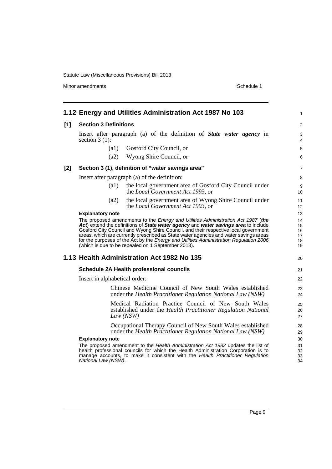Minor amendments **Schedule 1** 

|       |                                                | 1.12 Energy and Utilities Administration Act 1987 No 103                                                                                                                                                                                                                                                                                                                                                                                                                                                | 1                                      |
|-------|------------------------------------------------|---------------------------------------------------------------------------------------------------------------------------------------------------------------------------------------------------------------------------------------------------------------------------------------------------------------------------------------------------------------------------------------------------------------------------------------------------------------------------------------------------------|----------------------------------------|
| $[1]$ | <b>Section 3 Definitions</b>                   |                                                                                                                                                                                                                                                                                                                                                                                                                                                                                                         | $\overline{c}$                         |
|       | section $3(1)$ :                               | Insert after paragraph (a) of the definition of <b>State water agency</b> in                                                                                                                                                                                                                                                                                                                                                                                                                            | 3<br>4                                 |
|       | (a1)                                           | Gosford City Council, or                                                                                                                                                                                                                                                                                                                                                                                                                                                                                | 5                                      |
|       | (a2)                                           | Wyong Shire Council, or                                                                                                                                                                                                                                                                                                                                                                                                                                                                                 | 6                                      |
| $[2]$ |                                                | Section 3 (1), definition of "water savings area"                                                                                                                                                                                                                                                                                                                                                                                                                                                       | 7                                      |
|       |                                                | Insert after paragraph (a) of the definition:                                                                                                                                                                                                                                                                                                                                                                                                                                                           | 8                                      |
|       | $\left( a1\right)$                             | the local government area of Gosford City Council under<br>the Local Government Act 1993, or                                                                                                                                                                                                                                                                                                                                                                                                            | 9<br>10                                |
|       | (a2)                                           | the local government area of Wyong Shire Council under<br>the Local Government Act 1993, or                                                                                                                                                                                                                                                                                                                                                                                                             | 11<br>12                               |
|       | <b>Explanatory note</b>                        | The proposed amendments to the Energy and Utilities Administration Act 1987 (the<br>Act) extend the definitions of State water agency and water savings area to include<br>Gosford City Council and Wyong Shire Council, and their respective local government<br>areas, which are currently prescribed as State water agencies and water savings areas<br>for the purposes of the Act by the Energy and Utilities Administration Regulation 2006<br>(which is due to be repealed on 1 September 2013). | 13<br>14<br>15<br>16<br>17<br>18<br>19 |
|       |                                                | 1.13 Health Administration Act 1982 No 135                                                                                                                                                                                                                                                                                                                                                                                                                                                              | 20                                     |
|       |                                                | <b>Schedule 2A Health professional councils</b>                                                                                                                                                                                                                                                                                                                                                                                                                                                         | 21                                     |
|       | Insert in alphabetical order:                  |                                                                                                                                                                                                                                                                                                                                                                                                                                                                                                         | 22                                     |
|       |                                                | Chinese Medicine Council of New South Wales established<br>under the Health Practitioner Regulation National Law (NSW)                                                                                                                                                                                                                                                                                                                                                                                  | 23<br>24                               |
|       |                                                | Medical Radiation Practice Council of New South Wales<br>established under the Health Practitioner Regulation National<br>Law (NSW)                                                                                                                                                                                                                                                                                                                                                                     | 25<br>26<br>27                         |
|       |                                                | Occupational Therapy Council of New South Wales established<br>under the Health Practitioner Regulation National Law (NSW)                                                                                                                                                                                                                                                                                                                                                                              | 28<br>29                               |
|       | <b>Explanatory note</b><br>National Law (NSW). | The proposed amendment to the Health Administration Act 1982 updates the list of<br>health professional councils for which the Health Administration Corporation is to<br>manage accounts, to make it consistent with the Health Practitioner Regulation                                                                                                                                                                                                                                                | 30<br>31<br>32<br>33<br>34             |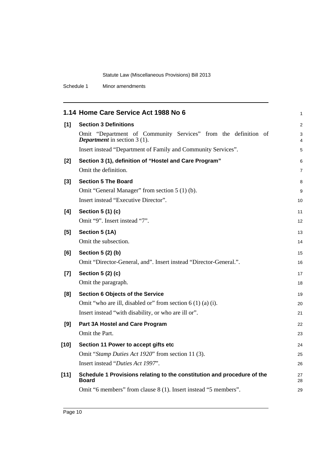Schedule 1 Minor amendments

|        | 1.14 Home Care Service Act 1988 No 6                                                                    | 1        |
|--------|---------------------------------------------------------------------------------------------------------|----------|
| $[1]$  | <b>Section 3 Definitions</b>                                                                            | 2        |
|        | Omit "Department of Community Services" from the definition of<br><b>Department</b> in section $3(1)$ . | 3<br>4   |
|        | Insert instead "Department of Family and Community Services".                                           | 5        |
| [2]    | Section 3 (1), definition of "Hostel and Care Program"<br>Omit the definition.                          | 6<br>7   |
|        |                                                                                                         |          |
| $[3]$  | <b>Section 5 The Board</b>                                                                              | 8        |
|        | Omit "General Manager" from section 5 (1) (b).<br>Insert instead "Executive Director".                  | 9        |
|        |                                                                                                         | 10       |
| [4]    | Section 5 (1) (c)                                                                                       | 11       |
|        | Omit "9". Insert instead "7".                                                                           | 12       |
| [5]    | Section 5 (1A)                                                                                          | 13       |
|        | Omit the subsection.                                                                                    | 14       |
| [6]    | Section 5 (2) (b)                                                                                       | 15       |
|        | Omit "Director-General, and". Insert instead "Director-General.".                                       | 16       |
| $[7]$  | Section 5 (2) (c)                                                                                       | 17       |
|        | Omit the paragraph.                                                                                     | 18       |
| [8]    | <b>Section 6 Objects of the Service</b>                                                                 | 19       |
|        | Omit "who are ill, disabled or" from section $6(1)(a)(i)$ .                                             | 20       |
|        | Insert instead "with disability, or who are ill or".                                                    | 21       |
| [9]    | Part 3A Hostel and Care Program                                                                         | 22       |
|        | Omit the Part.                                                                                          | 23       |
| $[10]$ | Section 11 Power to accept gifts etc                                                                    | 24       |
|        | Omit "Stamp Duties Act 1920" from section 11 (3).                                                       | 25       |
|        | Insert instead "Duties Act 1997".                                                                       | 26       |
| $[11]$ | Schedule 1 Provisions relating to the constitution and procedure of the<br>Board                        | 27<br>28 |
|        | Omit "6 members" from clause 8 (1). Insert instead "5 members".                                         | 29       |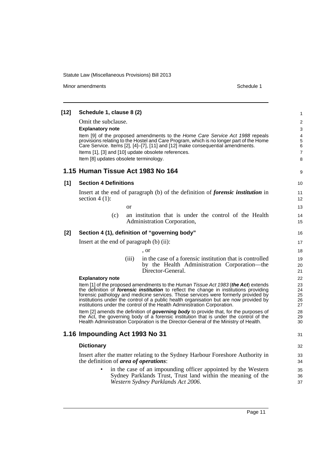Minor amendments **Schedule 1** and the state of the state of the state of the Schedule 1

**[12] Schedule 1, clause 8 (2)** Omit the subclause. **Explanatory note** Item [9] of the proposed amendments to the *Home Care Service Act 1988* repeals provisions relating to the Hostel and Care Program, which is no longer part of the Home Care Service. Items [2], [4]–[7], [11] and [12] make consequential amendments. Items [1], [3] and [10] update obsolete references. Item [8] updates obsolete terminology. **1.15 Human Tissue Act 1983 No 164 [1] Section 4 Definitions** Insert at the end of paragraph (b) of the definition of *forensic institution* in section  $4(1)$ : or (c) an institution that is under the control of the Health Administration Corporation, **[2] Section 4 (1), definition of "governing body"** Insert at the end of paragraph (b) (ii): , or (iii) in the case of a forensic institution that is controlled by the Health Administration Corporation—the Director-General. **Explanatory note** Item [1] of the proposed amendments to the *Human Tissue Act 1983* (*the Act*) extends the definition of *forensic institution* to reflect the change in institutions providing forensic pathology and medicine services. Those services were formerly provided by institutions under the control of a public health organisation but are now provided by institutions under the control of the Health Administration Corporation. Item [2] amends the definition of *governing body* to provide that, for the purposes of the Act, the governing body of a forensic institution that is under the control of the Health Administration Corporation is the Director-General of the Ministry of Health. **1.16 Impounding Act 1993 No 31 Dictionary** Insert after the matter relating to the Sydney Harbour Foreshore Authority in the definition of *area of operations*: in the case of an impounding officer appointed by the Western Sydney Parklands Trust, Trust land within the meaning of the 1 2 3 4 5 6 7 8 9 10 11 12 13 14 15 16 17 18 19 20 21 22 23 24 25 26 27 28 29  $30$ 31 32 33 34 35 36

*Western Sydney Parklands Act 2006*.

37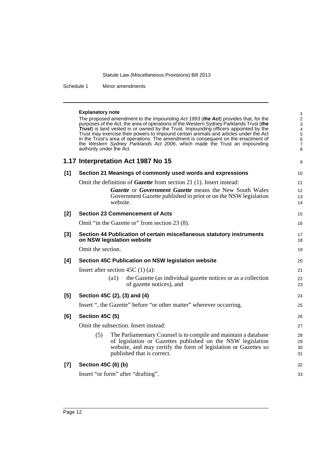Schedule 1 Minor amendments

#### **Explanatory note**

The proposed amendment to the *Impounding Act 1993* (*the Act*) provides that, for the purposes of the Act, the area of operations of the Western Sydney Parklands Trust (*the Trust*) is land vested in or owned by the Trust. Impounding officers appointed by the Trust may exercise their powers to impound certain animals and articles under the Act in the Trust's area of operations. The amendment is consequent on the enactment of the *Western Sydney Parklands Act 2006*, which made the Trust an impounding authority under the Act.

|       | 1.17 Interpretation Act 1987 No 15                         |
|-------|------------------------------------------------------------|
| - [1] | Section 21 Meanings of commonly used words and expressions |

Omit the definition of *Gazette* from section 21 (1). Insert instead:

| Gazette or Government Gazette means the New South Wales         |
|-----------------------------------------------------------------|
| Government Gazette published in print or on the NSW legislation |
| website.                                                        |

9

| [2]   | <b>Section 23 Commencement of Acts</b>                                                                                                                                                                                                 | 15                   |
|-------|----------------------------------------------------------------------------------------------------------------------------------------------------------------------------------------------------------------------------------------|----------------------|
|       | Omit "in the Gazette or" from section 23 (8).                                                                                                                                                                                          | 16                   |
| $[3]$ | Section 44 Publication of certain miscellaneous statutory instruments<br>on NSW legislation website                                                                                                                                    | 17<br>18             |
|       | Omit the section.                                                                                                                                                                                                                      | 19                   |
| [4]   | Section 45C Publication on NSW legislation website                                                                                                                                                                                     | 20                   |
|       | Insert after section $45C(1)(a)$ :                                                                                                                                                                                                     | 21                   |
|       | the Gazette (as individual gazette notices or as a collection<br>$\left( a1\right)$<br>of gazette notices), and                                                                                                                        | 22<br>23             |
| $[5]$ | Section 45C (2), (3) and (4)                                                                                                                                                                                                           | 24                   |
|       | Insert ", the Gazette" before "or other matter" wherever occurring.                                                                                                                                                                    | 25                   |
| [6]   | Section 45C (5)                                                                                                                                                                                                                        | 26                   |
|       | Omit the subsection. Insert instead:                                                                                                                                                                                                   | 27                   |
|       | The Parliamentary Counsel is to compile and maintain a database<br>(5)<br>of legislation or Gazettes published on the NSW legislation<br>website, and may certify the form of legislation or Gazettes so<br>published that is correct. | 28<br>29<br>30<br>31 |
| $[7]$ | Section 45C (6) (b)                                                                                                                                                                                                                    | 32                   |
|       | Insert "or form" after "drafting".                                                                                                                                                                                                     | 33                   |
|       |                                                                                                                                                                                                                                        |                      |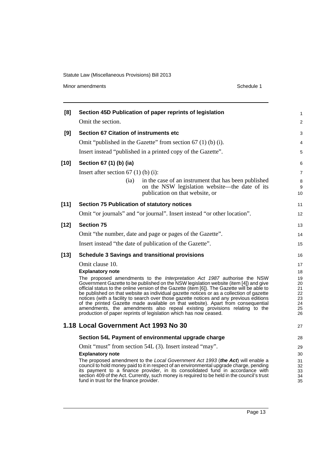| [8]    | Section 45D Publication of paper reprints of legislation                                                                                                                                                                                                                                                                                                                                                                                                                                                                                                                                                                                                                                        | 1                                            |
|--------|-------------------------------------------------------------------------------------------------------------------------------------------------------------------------------------------------------------------------------------------------------------------------------------------------------------------------------------------------------------------------------------------------------------------------------------------------------------------------------------------------------------------------------------------------------------------------------------------------------------------------------------------------------------------------------------------------|----------------------------------------------|
|        | Omit the section.                                                                                                                                                                                                                                                                                                                                                                                                                                                                                                                                                                                                                                                                               | $\overline{c}$                               |
| [9]    | <b>Section 67 Citation of instruments etc</b>                                                                                                                                                                                                                                                                                                                                                                                                                                                                                                                                                                                                                                                   | 3                                            |
|        | Omit "published in the Gazette" from section $67$ (1) (b) (i).                                                                                                                                                                                                                                                                                                                                                                                                                                                                                                                                                                                                                                  | 4                                            |
|        | Insert instead "published in a printed copy of the Gazette".                                                                                                                                                                                                                                                                                                                                                                                                                                                                                                                                                                                                                                    | 5                                            |
| $[10]$ | Section 67 (1) (b) (ia)                                                                                                                                                                                                                                                                                                                                                                                                                                                                                                                                                                                                                                                                         | 6                                            |
|        | Insert after section $67$ (1) (b) (i):                                                                                                                                                                                                                                                                                                                                                                                                                                                                                                                                                                                                                                                          | 7                                            |
|        | in the case of an instrument that has been published<br>(ia)<br>on the NSW legislation website—the date of its<br>publication on that website, or                                                                                                                                                                                                                                                                                                                                                                                                                                                                                                                                               | 8<br>9<br>10                                 |
| $[11]$ | <b>Section 75 Publication of statutory notices</b>                                                                                                                                                                                                                                                                                                                                                                                                                                                                                                                                                                                                                                              | 11                                           |
|        | Omit "or journals" and "or journal". Insert instead "or other location".                                                                                                                                                                                                                                                                                                                                                                                                                                                                                                                                                                                                                        | 12                                           |
| $[12]$ | <b>Section 75</b>                                                                                                                                                                                                                                                                                                                                                                                                                                                                                                                                                                                                                                                                               | 13                                           |
|        | Omit "the number, date and page or pages of the Gazette".                                                                                                                                                                                                                                                                                                                                                                                                                                                                                                                                                                                                                                       | 14                                           |
|        | Insert instead "the date of publication of the Gazette".                                                                                                                                                                                                                                                                                                                                                                                                                                                                                                                                                                                                                                        | 15                                           |
| $[13]$ | <b>Schedule 3 Savings and transitional provisions</b>                                                                                                                                                                                                                                                                                                                                                                                                                                                                                                                                                                                                                                           | 16                                           |
|        | Omit clause 10.                                                                                                                                                                                                                                                                                                                                                                                                                                                                                                                                                                                                                                                                                 | 17                                           |
|        | <b>Explanatory note</b>                                                                                                                                                                                                                                                                                                                                                                                                                                                                                                                                                                                                                                                                         | 18                                           |
|        | The proposed amendments to the Interpretation Act 1987 authorise the NSW<br>Government Gazette to be published on the NSW legislation website (item [4]) and give<br>official status to the online version of the Gazette (item [6]). The Gazette will be able to<br>be published on that website as individual gazette notices or as a collection of gazette<br>notices (with a facility to search over those gazette notices and any previous editions<br>of the printed Gazette made available on that website). Apart from consequential<br>amendments, the amendments also repeal existing provisions relating to the<br>production of paper reprints of legislation which has now ceased. | 19<br>20<br>21<br>22<br>23<br>24<br>25<br>26 |
|        | 1.18 Local Government Act 1993 No 30                                                                                                                                                                                                                                                                                                                                                                                                                                                                                                                                                                                                                                                            | 27                                           |
|        | Section 54L Payment of environmental upgrade charge                                                                                                                                                                                                                                                                                                                                                                                                                                                                                                                                                                                                                                             | 28                                           |
|        | Omit "must" from section 54L (3). Insert instead "may".                                                                                                                                                                                                                                                                                                                                                                                                                                                                                                                                                                                                                                         | 29                                           |
|        | <b>Explanatory note</b>                                                                                                                                                                                                                                                                                                                                                                                                                                                                                                                                                                                                                                                                         | 30                                           |
|        | The proposed amendment to the Local Government Act 1993 (the Act) will enable a<br>council to hold money paid to it in respect of an environmental upgrade charge, pending<br>its payment to a finance provider, in its consolidated fund in accordance with<br>section 409 of the Act. Currently, such money is required to be held in the council's trust<br>fund in trust for the finance provider.                                                                                                                                                                                                                                                                                          | 31<br>32<br>33<br>34<br>35                   |
|        |                                                                                                                                                                                                                                                                                                                                                                                                                                                                                                                                                                                                                                                                                                 |                                              |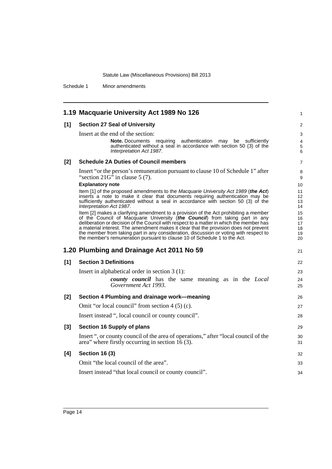Schedule 1 Minor amendments

|       | 1.19 Macquarie University Act 1989 No 126                                                                                                                                                                                                                                                                                                                                                                                                                                                                                        | 1                                |
|-------|----------------------------------------------------------------------------------------------------------------------------------------------------------------------------------------------------------------------------------------------------------------------------------------------------------------------------------------------------------------------------------------------------------------------------------------------------------------------------------------------------------------------------------|----------------------------------|
| $[1]$ | <b>Section 27 Seal of University</b>                                                                                                                                                                                                                                                                                                                                                                                                                                                                                             | $\overline{c}$                   |
|       | Insert at the end of the section:                                                                                                                                                                                                                                                                                                                                                                                                                                                                                                | 3                                |
|       | <b>Note.</b> Documents requiring authentication may be sufficiently<br>authenticated without a seal in accordance with section 50 (3) of the<br>Interpretation Act 1987.                                                                                                                                                                                                                                                                                                                                                         | 4<br>5<br>6                      |
| $[2]$ | <b>Schedule 2A Duties of Council members</b>                                                                                                                                                                                                                                                                                                                                                                                                                                                                                     | 7                                |
|       | Insert "or the person's remuneration pursuant to clause 10 of Schedule 1" after<br>"section $21G$ " in clause 5 (7).                                                                                                                                                                                                                                                                                                                                                                                                             | 8<br>9                           |
|       | <b>Explanatory note</b>                                                                                                                                                                                                                                                                                                                                                                                                                                                                                                          | 10                               |
|       | Item [1] of the proposed amendments to the <i>Macquarie University Act 1989</i> (the Act)<br>inserts a note to make it clear that documents requiring authentication may be<br>sufficiently authenticated without a seal in accordance with section 50 (3) of the<br>Interpretation Act 1987.                                                                                                                                                                                                                                    | 11<br>12<br>13<br>14             |
|       | Item [2] makes a clarifying amendment to a provision of the Act prohibiting a member<br>of the Council of Macquarie University (the Council) from taking part in any<br>deliberation or decision of the Council with respect to a matter in which the member has<br>a material interest. The amendment makes it clear that the provision does not prevent<br>the member from taking part in any consideration, discussion or voting with respect to<br>the member's remuneration pursuant to clause 10 of Schedule 1 to the Act. | 15<br>16<br>17<br>18<br>19<br>20 |
|       | 1.20 Plumbing and Drainage Act 2011 No 59                                                                                                                                                                                                                                                                                                                                                                                                                                                                                        | 21                               |
| [1]   | <b>Section 3 Definitions</b>                                                                                                                                                                                                                                                                                                                                                                                                                                                                                                     | 22                               |
|       | Insert in alphabetical order in section $3(1)$ :                                                                                                                                                                                                                                                                                                                                                                                                                                                                                 | 23                               |
|       | <b>county</b> council has the same meaning as in the <i>Local</i><br>Government Act 1993.                                                                                                                                                                                                                                                                                                                                                                                                                                        | 24<br>25                         |
| [2]   | Section 4 Plumbing and drainage work-meaning                                                                                                                                                                                                                                                                                                                                                                                                                                                                                     | 26                               |
|       | Omit "or local council" from section $4(5)(c)$ .                                                                                                                                                                                                                                                                                                                                                                                                                                                                                 | 27                               |
|       | Insert instead ", local council or county council".                                                                                                                                                                                                                                                                                                                                                                                                                                                                              | 28                               |
| $[3]$ | Section 16 Supply of plans                                                                                                                                                                                                                                                                                                                                                                                                                                                                                                       | 29                               |
|       | Insert ", or county council of the area of operations," after "local council of the<br>area" where firstly occurring in section $16(3)$ .                                                                                                                                                                                                                                                                                                                                                                                        | 30<br>31                         |
| [4]   | <b>Section 16 (3)</b>                                                                                                                                                                                                                                                                                                                                                                                                                                                                                                            | 32                               |
|       | Omit "the local council of the area".                                                                                                                                                                                                                                                                                                                                                                                                                                                                                            | 33                               |
|       | Insert instead "that local council or county council".                                                                                                                                                                                                                                                                                                                                                                                                                                                                           | 34                               |
|       |                                                                                                                                                                                                                                                                                                                                                                                                                                                                                                                                  |                                  |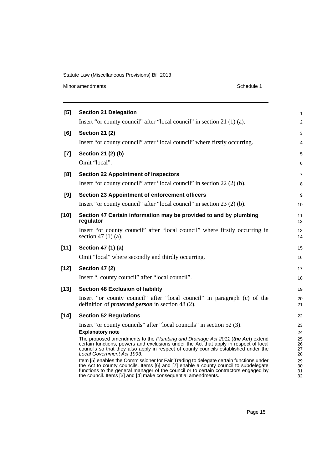Minor amendments **Schedule 1** 

| [5]    | <b>Section 21 Delegation</b>                                                                                                                                                                                                                                                                                                            | $\mathbf{1}$            |
|--------|-----------------------------------------------------------------------------------------------------------------------------------------------------------------------------------------------------------------------------------------------------------------------------------------------------------------------------------------|-------------------------|
|        | Insert "or county council" after "local council" in section 21 (1) (a).                                                                                                                                                                                                                                                                 | 2                       |
| [6]    | <b>Section 21 (2)</b>                                                                                                                                                                                                                                                                                                                   | 3                       |
|        | Insert "or county council" after "local council" where firstly occurring.                                                                                                                                                                                                                                                               | 4                       |
| $[7]$  | Section 21 (2) (b)                                                                                                                                                                                                                                                                                                                      | 5                       |
|        | Omit "local".                                                                                                                                                                                                                                                                                                                           | 6                       |
| [8]    | <b>Section 22 Appointment of inspectors</b>                                                                                                                                                                                                                                                                                             | $\overline{7}$          |
|        | Insert "or county council" after "local council" in section 22 (2) (b).                                                                                                                                                                                                                                                                 | 8                       |
| [9]    | Section 23 Appointment of enforcement officers                                                                                                                                                                                                                                                                                          | 9                       |
|        | Insert "or county council" after "local council" in section 23 (2) (b).                                                                                                                                                                                                                                                                 | 10                      |
| $[10]$ | Section 47 Certain information may be provided to and by plumbing<br>regulator                                                                                                                                                                                                                                                          | 11<br>$12 \overline{ }$ |
|        | Insert "or county council" after "local council" where firstly occurring in<br>section 47 $(1)$ $(a)$ .                                                                                                                                                                                                                                 | 13<br>14                |
| $[11]$ | Section 47 (1) (a)                                                                                                                                                                                                                                                                                                                      | 15                      |
|        | Omit "local" where secondly and thirdly occurring.                                                                                                                                                                                                                                                                                      | 16                      |
| $[12]$ | <b>Section 47 (2)</b>                                                                                                                                                                                                                                                                                                                   | 17                      |
|        | Insert ", county council" after "local council".                                                                                                                                                                                                                                                                                        | 18                      |
| $[13]$ | <b>Section 48 Exclusion of liability</b>                                                                                                                                                                                                                                                                                                | 19                      |
|        | Insert "or county council" after "local council" in paragraph (c) of the<br>definition of <i>protected person</i> in section 48 (2).                                                                                                                                                                                                    | 20<br>21                |
| $[14]$ | <b>Section 52 Regulations</b>                                                                                                                                                                                                                                                                                                           | 22                      |
|        | Insert "or county councils" after "local councils" in section 52 (3).                                                                                                                                                                                                                                                                   | 23                      |
|        | <b>Explanatory note</b>                                                                                                                                                                                                                                                                                                                 | 24                      |
|        | The proposed amendments to the Plumbing and Drainage Act 2011 (the Act) extend<br>certain functions, powers and exclusions under the Act that apply in respect of local<br>councils so that they also apply in respect of county councils established under the<br>Local Government Act 1993.                                           | 25<br>26<br>27<br>28    |
|        | Item [5] enables the Commissioner for Fair Trading to delegate certain functions under<br>the Act to county councils. Items [6] and [7] enable a county council to subdelegate<br>functions to the general manager of the council or to certain contractors engaged by<br>the council. Items [3] and [4] make consequential amendments. | 29<br>30<br>31<br>32    |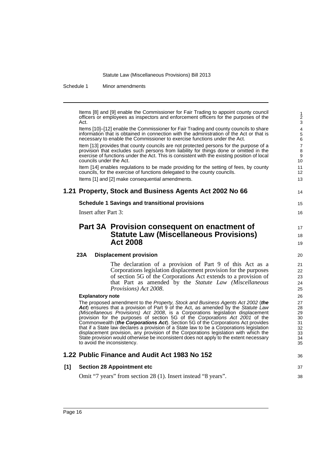Schedule 1 Minor amendments

Items [8] and [9] enable the Commissioner for Fair Trading to appoint county council officers or employees as inspectors and enforcement officers for the purposes of the Act. Items [10]–[12] enable the Commissioner for Fair Trading and county councils to share information that is obtained in connection with the administration of the Act or that is necessary to enable the Commissioner to exercise functions under the Act. Item [13] provides that county councils are not protected persons for the purpose of a provision that excludes such persons from liability for things done or omitted in the exercise of functions under the Act. This is consistent with the existing position of local councils under the Act. Item [14] enables regulations to be made providing for the setting of fees, by county councils, for the exercise of functions delegated to the county councils. Items [1] and [2] make consequential amendments. **1.21 Property, Stock and Business Agents Act 2002 No 66 Schedule 1 Savings and transitional provisions** Insert after Part 3: **Part 3A Provision consequent on enactment of Statute Law (Miscellaneous Provisions) Act 2008 23A Displacement provision** The declaration of a provision of Part 9 of this Act as a Corporations legislation displacement provision for the purposes of section 5G of the Corporations Act extends to a provision of that Part as amended by the *Statute Law (Miscellaneous Provisions) Act 2008*. **Explanatory note** The proposed amendment to the *Property, Stock and Business Agents Act 2002* (*the Act*) ensures that a provision of Part 9 of the Act, as amended by the *Statute Law (Miscellaneous Provisions) Act 2008*, is a Corporations legislation displacement provision for the purposes of section 5G of the *Corporations Act 2001* of the Commonwealth (*the Corporations Act*). Section 5G of the Corporations Act provides that if a State law declares a provision of a State law to be a Corporations legislation displacement provision, any provision of the Corporations legislation with which the State provision would otherwise be inconsistent does not apply to the extent necessary to avoid the inconsistency. **1.22 Public Finance and Audit Act 1983 No 152 [1] Section 28 Appointment etc** Omit "7 years" from section 28 (1). Insert instead "8 years". 3 4 5 6 7 8 9 10 11 12 13 14 15 16 17 18 19 20 21 22 23 24 25 26 27 28 29 30 31 32 33 34 35 36 37 38

1 2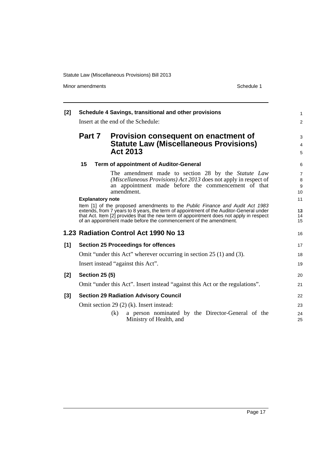Minor amendments **Schedule 1** 

| [2]   |                         | Schedule 4 Savings, transitional and other provisions                                                                                                                                                                                                                                                                                | $\mathbf{1}$                                |
|-------|-------------------------|--------------------------------------------------------------------------------------------------------------------------------------------------------------------------------------------------------------------------------------------------------------------------------------------------------------------------------------|---------------------------------------------|
|       |                         | Insert at the end of the Schedule:                                                                                                                                                                                                                                                                                                   | $\overline{2}$                              |
|       | <b>Part 7</b>           | Provision consequent on enactment of<br><b>Statute Law (Miscellaneous Provisions)</b>                                                                                                                                                                                                                                                | 3<br>$\overline{4}$                         |
|       |                         | <b>Act 2013</b>                                                                                                                                                                                                                                                                                                                      | 5                                           |
|       | 15                      | <b>Term of appointment of Auditor-General</b>                                                                                                                                                                                                                                                                                        | 6                                           |
|       |                         | The amendment made to section 28 by the <i>Statute Law</i><br>(Miscellaneous Provisions) Act 2013 does not apply in respect of<br>an appointment made before the commencement of that<br>amendment.                                                                                                                                  | $\overline{7}$<br>8<br>9<br>10 <sup>1</sup> |
|       | <b>Explanatory note</b> |                                                                                                                                                                                                                                                                                                                                      | 11                                          |
|       |                         | Item [1] of the proposed amendments to the Public Finance and Audit Act 1983<br>extends, from 7 years to 8 years, the term of appointment of the Auditor-General under<br>that Act. Item [2] provides that the new term of appointment does not apply in respect<br>of an appointment made before the commencement of the amendment. | 12<br>14<br>15                              |
|       |                         | 1.23 Radiation Control Act 1990 No 13                                                                                                                                                                                                                                                                                                | 16                                          |
| [1]   |                         | <b>Section 25 Proceedings for offences</b>                                                                                                                                                                                                                                                                                           | 17                                          |
|       |                         | Omit "under this Act" wherever occurring in section $25(1)$ and (3).                                                                                                                                                                                                                                                                 | 18                                          |
|       |                         | Insert instead "against this Act".                                                                                                                                                                                                                                                                                                   | 19                                          |
| $[2]$ | <b>Section 25 (5)</b>   |                                                                                                                                                                                                                                                                                                                                      | 20                                          |
|       |                         | Omit "under this Act". Insert instead "against this Act or the regulations".                                                                                                                                                                                                                                                         | 21                                          |
| [3]   |                         | <b>Section 29 Radiation Advisory Council</b>                                                                                                                                                                                                                                                                                         | 22                                          |
|       |                         | Omit section 29 (2) (k). Insert instead:                                                                                                                                                                                                                                                                                             | 23                                          |
|       |                         | a person nominated by the Director-General of the<br>(k)<br>Ministry of Health, and                                                                                                                                                                                                                                                  | 24<br>25                                    |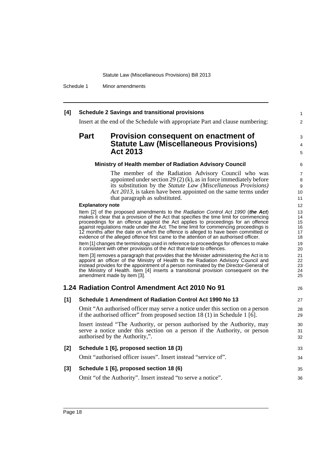Schedule 1 Minor amendments

### **[4] Schedule 2 Savings and transitional provisions**

Insert at the end of the Schedule with appropriate Part and clause numbering:

### **Part Provision consequent on enactment of Statute Law (Miscellaneous Provisions) Act 2013**

#### **Ministry of Health member of Radiation Advisory Council**

The member of the Radiation Advisory Council who was appointed under section 29 (2) (k), as in force immediately before its substitution by the *Statute Law (Miscellaneous Provisions) Act 2013*, is taken have been appointed on the same terms under that paragraph as substituted.

1  $\mathfrak{p}$ 

3 4 5

26

#### **Explanatory note**

Item [2] of the proposed amendments to the *Radiation Control Act 1990* (*the Act*) makes it clear that a provision of the Act that specifies the time limit for commencing proceedings for an offence against the Act applies to proceedings for an offence against regulations made under the Act. The time limit for commencing proceedings is 12 months after the date on which the offence is alleged to have been committed or evidence of the alleged offence first came to the attention of an authorised officer.

Item [1] changes the terminology used in reference to proceedings for offences to make it consistent with other provisions of the Act that relate to offences.

Item [3] removes a paragraph that provides that the Minister administering the Act is to appoint an officer of the Ministry of Health to the Radiation Advisory Council and instead provides for the appointment of a person nominated by the Director-General of the Ministry of Health. Item [4] inserts a transitional provision consequent on the amendment made by item [3].

### **1.24 Radiation Control Amendment Act 2010 No 91**

### **[1] Schedule 1 Amendment of Radiation Control Act 1990 No 13**

Omit "An authorised officer may serve a notice under this section on a person if the authorised officer" from proposed section 18 (1) in Schedule 1 [6].

Insert instead "The Authority, or person authorised by the Authority, may serve a notice under this section on a person if the Authority, or person authorised by the Authority,".

| [2] | Schedule 1 [6], proposed section 18 (3)                        | 33 |
|-----|----------------------------------------------------------------|----|
|     | Omit "authorised officer issues". Insert instead "service of". | 34 |
| [3] | Schedule 1 [6], proposed section 18 (6)                        | 35 |
|     | Omit "of the Authority". Insert instead "to serve a notice".   | 36 |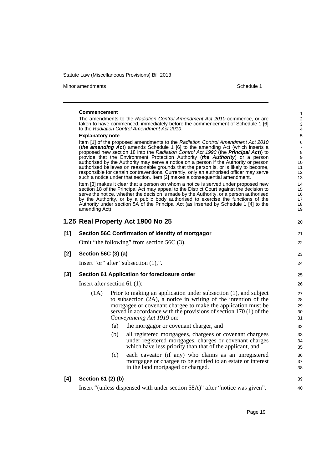Minor amendments **Schedule 1** 

|       | <b>Commencement</b><br><b>Explanatory note</b><br>amending Act). |     | The amendments to the Radiation Control Amendment Act 2010 commence, or are<br>taken to have commenced, immediately before the commencement of Schedule 1 [6]<br>to the Radiation Control Amendment Act 2010.<br>Item [1] of the proposed amendments to the Radiation Control Amendment Act 2010<br>(the amending Act) amends Schedule 1 [6] to the amending Act (which inserts a<br>proposed new section 18 into the Radiation Control Act 1990 (the <b>Principal Act</b> )) to<br>provide that the Environment Protection Authority (the Authority) or a person<br>authorised by the Authority may serve a notice on a person if the Authority or person<br>authorised believes on reasonable grounds that the person is, or is likely to become,<br>responsible for certain contraventions. Currently, only an authorised officer may serve<br>such a notice under that section. Item [2] makes a consequential amendment.<br>Item [3] makes it clear that a person on whom a notice is served under proposed new<br>section 18 of the Principal Act may appeal to the District Court against the decision to<br>serve the notice, whether the decision is made by the Authority, or a person authorised<br>by the Authority, or by a public body authorised to exercise the functions of the<br>Authority under section 5A of the Principal Act (as inserted by Schedule 1 [4] to the | 1<br>$\overline{2}$<br>3<br>4<br>5<br>6<br>7<br>8<br>9<br>10<br>11<br>12<br>13<br>14<br>15<br>16<br>17<br>18<br>19 |
|-------|------------------------------------------------------------------|-----|-------------------------------------------------------------------------------------------------------------------------------------------------------------------------------------------------------------------------------------------------------------------------------------------------------------------------------------------------------------------------------------------------------------------------------------------------------------------------------------------------------------------------------------------------------------------------------------------------------------------------------------------------------------------------------------------------------------------------------------------------------------------------------------------------------------------------------------------------------------------------------------------------------------------------------------------------------------------------------------------------------------------------------------------------------------------------------------------------------------------------------------------------------------------------------------------------------------------------------------------------------------------------------------------------------------------------------------------------------------------------------------------|--------------------------------------------------------------------------------------------------------------------|
|       |                                                                  |     | 1.25 Real Property Act 1900 No 25                                                                                                                                                                                                                                                                                                                                                                                                                                                                                                                                                                                                                                                                                                                                                                                                                                                                                                                                                                                                                                                                                                                                                                                                                                                                                                                                                         | 20                                                                                                                 |
| [1]   |                                                                  |     | Section 56C Confirmation of identity of mortgagor                                                                                                                                                                                                                                                                                                                                                                                                                                                                                                                                                                                                                                                                                                                                                                                                                                                                                                                                                                                                                                                                                                                                                                                                                                                                                                                                         | 21                                                                                                                 |
|       |                                                                  |     | Omit "the following" from section $56C(3)$ .                                                                                                                                                                                                                                                                                                                                                                                                                                                                                                                                                                                                                                                                                                                                                                                                                                                                                                                                                                                                                                                                                                                                                                                                                                                                                                                                              | 22                                                                                                                 |
| $[2]$ | Section 56C (3) (a)                                              |     |                                                                                                                                                                                                                                                                                                                                                                                                                                                                                                                                                                                                                                                                                                                                                                                                                                                                                                                                                                                                                                                                                                                                                                                                                                                                                                                                                                                           | 23                                                                                                                 |
|       |                                                                  |     | Insert "or" after "subsection $(1)$ ,".                                                                                                                                                                                                                                                                                                                                                                                                                                                                                                                                                                                                                                                                                                                                                                                                                                                                                                                                                                                                                                                                                                                                                                                                                                                                                                                                                   | 24                                                                                                                 |
| $[3]$ |                                                                  |     | Section 61 Application for foreclosure order                                                                                                                                                                                                                                                                                                                                                                                                                                                                                                                                                                                                                                                                                                                                                                                                                                                                                                                                                                                                                                                                                                                                                                                                                                                                                                                                              | 25                                                                                                                 |
|       | Insert after section 61 $(1)$ :                                  |     |                                                                                                                                                                                                                                                                                                                                                                                                                                                                                                                                                                                                                                                                                                                                                                                                                                                                                                                                                                                                                                                                                                                                                                                                                                                                                                                                                                                           | 26                                                                                                                 |
|       | (1A)                                                             |     | Prior to making an application under subsection (1), and subject<br>to subsection (2A), a notice in writing of the intention of the<br>mortgagee or covenant chargee to make the application must be<br>served in accordance with the provisions of section 170 (1) of the<br>Conveyancing Act 1919 on:                                                                                                                                                                                                                                                                                                                                                                                                                                                                                                                                                                                                                                                                                                                                                                                                                                                                                                                                                                                                                                                                                   | 27<br>28<br>29<br>30<br>31                                                                                         |
|       |                                                                  | (a) | the mortgagor or covenant charger, and                                                                                                                                                                                                                                                                                                                                                                                                                                                                                                                                                                                                                                                                                                                                                                                                                                                                                                                                                                                                                                                                                                                                                                                                                                                                                                                                                    | 32                                                                                                                 |
|       |                                                                  | (b) | all registered mortgagees, chargees or covenant chargees<br>under registered mortgages, charges or covenant charges<br>which have less priority than that of the applicant, and                                                                                                                                                                                                                                                                                                                                                                                                                                                                                                                                                                                                                                                                                                                                                                                                                                                                                                                                                                                                                                                                                                                                                                                                           | 33<br>34<br>35                                                                                                     |
|       |                                                                  | (c) | each caveator (if any) who claims as an unregistered<br>mortgagee or chargee to be entitled to an estate or interest<br>in the land mortgaged or charged.                                                                                                                                                                                                                                                                                                                                                                                                                                                                                                                                                                                                                                                                                                                                                                                                                                                                                                                                                                                                                                                                                                                                                                                                                                 | 36<br>37<br>38                                                                                                     |
| [4]   | Section 61 (2) (b)                                               |     |                                                                                                                                                                                                                                                                                                                                                                                                                                                                                                                                                                                                                                                                                                                                                                                                                                                                                                                                                                                                                                                                                                                                                                                                                                                                                                                                                                                           | 39                                                                                                                 |
|       |                                                                  |     | Insert "(unless dispensed with under section 58A)" after "notice was given".                                                                                                                                                                                                                                                                                                                                                                                                                                                                                                                                                                                                                                                                                                                                                                                                                                                                                                                                                                                                                                                                                                                                                                                                                                                                                                              | 40                                                                                                                 |
|       |                                                                  |     |                                                                                                                                                                                                                                                                                                                                                                                                                                                                                                                                                                                                                                                                                                                                                                                                                                                                                                                                                                                                                                                                                                                                                                                                                                                                                                                                                                                           |                                                                                                                    |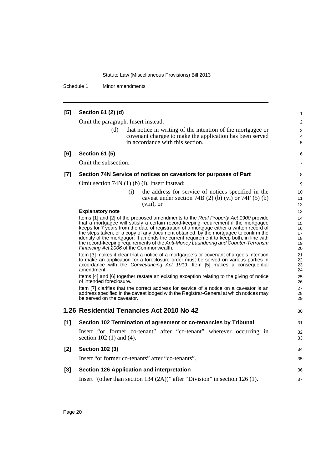Schedule 1 Minor amendments

#### **[5] Section 61 (2) (d)** Omit the paragraph. Insert instead: (d) that notice in writing of the intention of the mortgagee or covenant chargee to make the application has been served in accordance with this section. **[6] Section 61 (5)** Omit the subsection. **[7] Section 74N Service of notices on caveators for purposes of Part** Omit section 74N (1) (b) (i). Insert instead: (i) the address for service of notices specified in the caveat under section 74B  $(2)$  (b) (vi) or 74F  $(5)$  (b) (viii), or **Explanatory note** Items [1] and [2] of the proposed amendments to the *Real Property Act 1900* provide that a mortgagee will satisfy a certain record-keeping requirement if the mortgagee keeps for 7 years from the date of registration of a mortgage either a written record of the steps taken, or a copy of any document obtained, by the mortgagee to confirm the identity of the mortgagor. It amends the current requirement to keep both, in line with the record-keeping requirements of the *Anti-Money Laundering and Counter-Terrorism Financing Act 2006* of the Commonwealth. Item [3] makes it clear that a notice of a mortgagee's or covenant chargee's intention to make an application for a foreclosure order must be served on various parties in accordance with the *Conveyancing Act 1919*. Item [5] makes a consequential amendment. Items [4] and [6] together restate an existing exception relating to the giving of notice of intended foreclosure. Item [7] clarifies that the correct address for service of a notice on a caveator is an address specified in the caveat lodged with the Registrar-General at which notices may be served on the caveator. **1.26 Residential Tenancies Act 2010 No 42 [1] Section 102 Termination of agreement or co-tenancies by Tribunal** Insert "or former co-tenant" after "co-tenant" wherever occurring in section 102 (1) and (4). **[2] Section 102 (3)** Insert "or former co-tenants" after "co-tenants". **[3] Section 126 Application and interpretation** Insert "(other than section 134 (2A))" after "Division" in section 126 (1). 1  $\mathfrak{p}$ 3 4 5 6 7 8 9 10 11 12 13  $14$ 15 16 17 18 19 20 21 22 23 24 25 26 27 28 29 30 31 32 33 34 35 36 37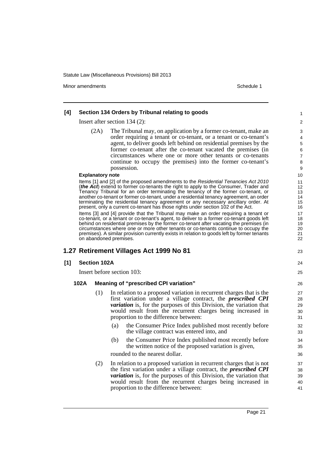Minor amendments **Schedule 1** and the state of the state of the state of the Schedule 1

#### **[4] Section 134 Orders by Tribunal relating to goods** Insert after section 134 (2): (2A) The Tribunal may, on application by a former co-tenant, make an order requiring a tenant or co-tenant, or a tenant or co-tenant's agent, to deliver goods left behind on residential premises by the former co-tenant after the co-tenant vacated the premises (in circumstances where one or more other tenants or co-tenants continue to occupy the premises) into the former co-tenant's possession. **Explanatory note** Items [1] and [2] of the proposed amendments to the *Residential Tenancies Act 2010* (*the Act*) extend to former co-tenants the right to apply to the Consumer, Trader and Tenancy Tribunal for an order terminating the tenancy of the former co-tenant, or another co-tenant or former co-tenant, under a residential tenancy agreement, an order terminating the residential tenancy agreement or any necessary ancillary order. At present, only a current co-tenant has those rights under section 102 of the Act. Items [3] and [4] provide that the Tribunal may make an order requiring a tenant or co-tenant, or a tenant or co-tenant's agent, to deliver to a former co-tenant goods left behind on residential premises by the former co-tenant after vacating the premises (in circumstances where one or more other tenants or co-tenants continue to occupy the premises). A similar provision currently exists in relation to goods left by former tenants on abandoned premises. **1.27 Retirement Villages Act 1999 No 81 [1] Section 102A** Insert before section 103: **102A Meaning of "prescribed CPI variation"** (1) In relation to a proposed variation in recurrent charges that is the first variation under a village contract, the *prescribed CPI variation* is, for the purposes of this Division, the variation that would result from the recurrent charges being increased in proportion to the difference between: (a) the Consumer Price Index published most recently before the village contract was entered into, and (b) the Consumer Price Index published most recently before the written notice of the proposed variation is given, rounded to the nearest dollar. (2) In relation to a proposed variation in recurrent charges that is not the first variation under a village contract, the *prescribed CPI variation* is, for the purposes of this Division, the variation that would result from the recurrent charges being increased in proportion to the difference between: 1  $\mathfrak{p}$ 3 4 5 6 7 8 9 10 11 12 13 14 15 16 17 18 19 20 21 22 23 24 25 26 27 28 29 30 31 32 33 34 35 36 37 38 39 40 41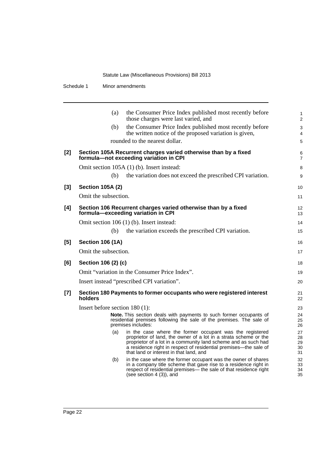Schedule 1 Minor amendments

|       | the Consumer Price Index published most recently before<br>(a)<br>those charges were last varied, and                                                                                                                                                                                                                | $\mathbf{1}$<br>2          |
|-------|----------------------------------------------------------------------------------------------------------------------------------------------------------------------------------------------------------------------------------------------------------------------------------------------------------------------|----------------------------|
|       | the Consumer Price Index published most recently before<br>(b)<br>the written notice of the proposed variation is given,                                                                                                                                                                                             | 3<br>4                     |
|       | rounded to the nearest dollar.                                                                                                                                                                                                                                                                                       | 5                          |
| $[2]$ | Section 105A Recurrent charges varied otherwise than by a fixed<br>formula-not exceeding variation in CPI                                                                                                                                                                                                            | 6<br>$\overline{7}$        |
|       | Omit section 105A (1) (b). Insert instead:                                                                                                                                                                                                                                                                           | 8                          |
|       | the variation does not exceed the prescribed CPI variation.<br>(b)                                                                                                                                                                                                                                                   | 9                          |
| $[3]$ | <b>Section 105A (2)</b>                                                                                                                                                                                                                                                                                              | 10                         |
|       | Omit the subsection.                                                                                                                                                                                                                                                                                                 | 11                         |
| [4]   | Section 106 Recurrent charges varied otherwise than by a fixed<br>formula-exceeding variation in CPI                                                                                                                                                                                                                 | $12 \overline{ }$<br>13    |
|       | Omit section 106 (1) (b). Insert instead:                                                                                                                                                                                                                                                                            | 14                         |
|       | the variation exceeds the prescribed CPI variation.<br>(b)                                                                                                                                                                                                                                                           | 15                         |
| [5]   | <b>Section 106 (1A)</b>                                                                                                                                                                                                                                                                                              | 16                         |
|       | Omit the subsection.                                                                                                                                                                                                                                                                                                 | 17                         |
| [6]   | Section 106 (2) (c)                                                                                                                                                                                                                                                                                                  | 18                         |
|       | Omit "variation in the Consumer Price Index".                                                                                                                                                                                                                                                                        | 19                         |
|       | Insert instead "prescribed CPI variation".                                                                                                                                                                                                                                                                           | 20                         |
| $[7]$ | Section 180 Payments to former occupants who were registered interest<br>holders                                                                                                                                                                                                                                     | 21<br>22                   |
|       | Insert before section $180(1)$ :                                                                                                                                                                                                                                                                                     | 23                         |
|       | <b>Note.</b> This section deals with payments to such former occupants of<br>residential premises following the sale of the premises. The sale of<br>premises includes:                                                                                                                                              | 24<br>25<br>26             |
|       | (a)<br>in the case where the former occupant was the registered<br>proprietor of land, the owner of a lot in a strata scheme or the<br>proprietor of a lot in a community land scheme and as such had<br>a residence right in respect of residential premises—the sale of<br>that land or interest in that land, and | 27<br>28<br>29<br>30<br>31 |
|       | in the case where the former occupant was the owner of shares<br>(b)<br>in a company title scheme that gave rise to a residence right in<br>respect of residential premises— the sale of that residence right<br>(see section $4(3)$ ), and                                                                          | 32<br>33<br>34<br>35       |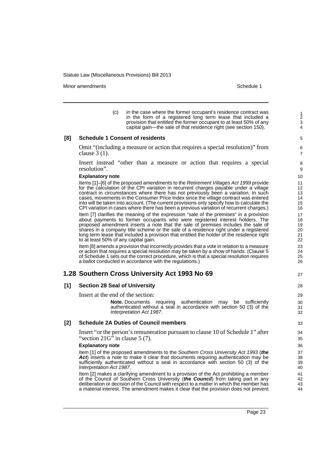Minor amendments **Schedule 1** and the state of the state of the state of the Schedule 1

27

(c) in the case where the former occupant's residence contract was in the form of a registered long term lease that included a provision that entitled the former occupant to at least 50% of any capital gain—the sale of that residence right (see section 150).

#### **[8] Schedule 1 Consent of residents**

Omit "(including a measure or action that requires a special resolution)" from clause 3 (1).

Insert instead "other than a measure or action that requires a special resolution".

#### **Explanatory note**

Items [1]–[6] of the proposed amendments to the *Retirement Villages Act 1999* provide for the calculation of the CPI variation in recurrent charges payable under a village contract in circumstances where there has not previously been a variation. In such cases, movements in the Consumer Price Index since the village contract was entered into will be taken into account. (The current provisions only specify how to calculate the CPI variation in cases where there has been a previous variation of recurrent charges.)

Item [7] clarifies the meaning of the expression "sale of the premises" in a provision about payments to former occupants who were registered interest holders. The proposed amendment inserts a note that the sale of premises includes the sale of shares in a company title scheme or the sale of a residence right under a registered long term lease that included a provision that entitled the holder of the residence right to at least 50% of any capital gain.

Item [8] amends a provision that incorrectly provides that a vote in relation to a measure or action that requires a special resolution may be taken by a show of hands. (Clause 5 of Schedule 1 sets out the correct procedure, which is that a special resolution requires a ballot conducted in accordance with the regulations.)

#### **1.28 Southern Cross University Act 1993 No 69**

#### **[1] Section 28 Seal of University**

Insert at the end of the section:

**Note.** Documents requiring authentication may be sufficiently authenticated without a seal in accordance with section 50 (3) of the *Interpretation Act 1987*.

#### **[2] Schedule 2A Duties of Council members**

Insert "or the person's remuneration pursuant to clause 10 of Schedule 1" after "section  $21G^3$  in clause 5 (7).

#### **Explanatory note**

Item [1] of the proposed amendments to the *Southern Cross University Act 1993* (*the Act*) inserts a note to make it clear that documents requiring authentication may be sufficiently authenticated without a seal in accordance with section 50 (3) of the *Interpretation Act 1987*.

Item [2] makes a clarifying amendment to a provision of the Act prohibiting a member of the Council of Southern Cross University (*the Council*) from taking part in any deliberation or decision of the Council with respect to a matter in which the member has a material interest. The amendment makes it clear that the provision does not prevent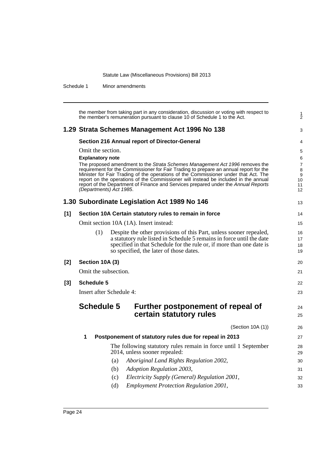Schedule 1 Minor amendments

|       | the member from taking part in any consideration, discussion or voting with respect to<br>the member's remuneration pursuant to clause 10 of Schedule 1 to the Act.                                                                                                                                          | $\frac{1}{2}$                      |
|-------|--------------------------------------------------------------------------------------------------------------------------------------------------------------------------------------------------------------------------------------------------------------------------------------------------------------|------------------------------------|
|       | 1.29 Strata Schemes Management Act 1996 No 138                                                                                                                                                                                                                                                               | 3                                  |
|       | Section 216 Annual report of Director-General                                                                                                                                                                                                                                                                | 4                                  |
|       | Omit the section.<br><b>Explanatory note</b><br>The proposed amendment to the Strata Schemes Management Act 1996 removes the<br>requirement for the Commissioner for Fair Trading to prepare an annual report for the<br>Minister for Fair Trading of the operations of the Commissioner under that Act. The | 5<br>6<br>$\overline{7}$<br>8<br>9 |
|       | report on the operations of the Commissioner will instead be included in the annual<br>report of the Department of Finance and Services prepared under the Annual Reports<br>(Departments) Act 1985.                                                                                                         | 10<br>11<br>12                     |
|       | 1.30 Subordinate Legislation Act 1989 No 146                                                                                                                                                                                                                                                                 | 13                                 |
| [1]   | Section 10A Certain statutory rules to remain in force                                                                                                                                                                                                                                                       | 14                                 |
|       | Omit section 10A (1A). Insert instead:                                                                                                                                                                                                                                                                       | 15                                 |
|       | (1)<br>Despite the other provisions of this Part, unless sooner repealed,<br>a statutory rule listed in Schedule 5 remains in force until the date<br>specified in that Schedule for the rule or, if more than one date is<br>so specified, the later of those dates.                                        | 16<br>17<br>18<br>19               |
| $[2]$ | Section 10A (3)                                                                                                                                                                                                                                                                                              | 20                                 |
|       | Omit the subsection.                                                                                                                                                                                                                                                                                         | 21                                 |
| $[3]$ | <b>Schedule 5</b>                                                                                                                                                                                                                                                                                            | 22                                 |
|       | Insert after Schedule 4:                                                                                                                                                                                                                                                                                     | 23                                 |
|       | <b>Schedule 5</b><br>Further postponement of repeal of<br>certain statutory rules                                                                                                                                                                                                                            | 24<br>25                           |
|       | (Section 10A (1))                                                                                                                                                                                                                                                                                            | 26                                 |
|       | 1<br>Postponement of statutory rules due for repeal in 2013                                                                                                                                                                                                                                                  | 27                                 |
|       | The following statutory rules remain in force until 1 September<br>2014, unless sooner repealed:                                                                                                                                                                                                             | 28<br>29                           |
|       | Aboriginal Land Rights Regulation 2002,<br>(a)                                                                                                                                                                                                                                                               | 30                                 |
|       | (b)<br>Adoption Regulation 2003,                                                                                                                                                                                                                                                                             | 31                                 |
|       | Electricity Supply (General) Regulation 2001,<br>(c)                                                                                                                                                                                                                                                         | 32                                 |
|       | (d)<br><b>Employment Protection Regulation 2001,</b>                                                                                                                                                                                                                                                         | 33                                 |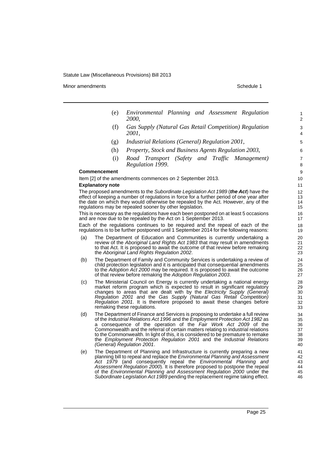Minor amendments **Schedule 1** and the state of the state of the state of the Schedule 1

- (e) *Environmental Planning and Assessment Regulation 2000*,
- (f) *Gas Supply (Natural Gas Retail Competition) Regulation 2001*,
- (g) *Industrial Relations (General) Regulation 2001*,
- (h) *Property, Stock and Business Agents Regulation 2003*,
- (i) *Road Transport (Safety and Traffic Management) Regulation 1999*.

#### **Commencement**

Item [2] of the amendments commences on 2 September 2013.

#### **Explanatory note**

The proposed amendments to the *Subordinate Legislation Act 1989* (*the Act*) have the effect of keeping a number of regulations in force for a further period of one year after the date on which they would otherwise be repealed by the Act. However, any of the regulations may be repealed sooner by other legislation.

This is necessary as the regulations have each been postponed on at least 5 occasions and are now due to be repealed by the Act on 1 September 2013.

Each of the regulations continues to be required and the repeal of each of the regulations is to be further postponed until 1 September 2014 for the following reasons:

- (a) The Department of Education and Communities is currently undertaking a review of the *Aboriginal Land Rights Act 1983* that may result in amendments to that Act. It is proposed to await the outcome of that review before remaking the *Aboriginal Land Rights Regulation 2002*.
- (b) The Department of Family and Community Services is undertaking a review of child protection legislation and it is anticipated that consequential amendments to the *Adoption Act 2000* may be required. It is proposed to await the outcome of that review before remaking the *Adoption Regulation 2003*.
- (c) The Ministerial Council on Energy is currently undertaking a national energy market reform program which is expected to result in significant regulatory changes to areas that are dealt with by the *Electricity Supply (General) Regulation 2001* and the *Gas Supply (Natural Gas Retail Competition) Regulation 2001*. It is therefore proposed to await these changes before remaking these regulations.
- (d) The Department of Finance and Services is proposing to undertake a full review of the *Industrial Relations Act 1996* and the *Employment Protection Act 1982* as a consequence of the operation of the *Fair Work Act 2009* of the Commonwealth and the referral of certain matters relating to industrial relations to the Commonwealth. In light of this, it is considered to be premature to remake the *Employment Protection Regulation 2001* and the *Industrial Relations (General) Regulation 2001*.
- (e) The Department of Planning and Infrastructure is currently preparing a new planning bill to repeal and replace the *Environmental Planning and Assessment Act 1979* (and consequently repeal the *Environmental Planning and Assessment Regulation 2000*). It is therefore proposed to postpone the repeal of the *Environmental Planning and Assessment Regulation 2000* under the *Subordinate Legislation Act 1989* pending the replacement regime taking effect.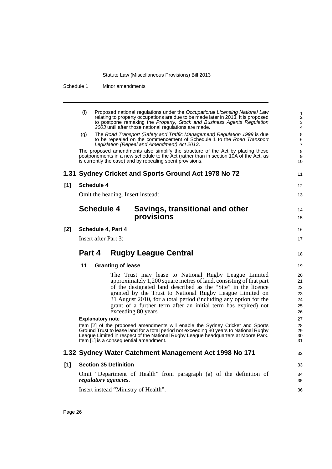Schedule 1 Minor amendments

|       | (f)<br>Proposed national regulations under the Occupational Licensing National Law<br>relating to property occupations are due to be made later in 2013. It is proposed<br>to postpone remaking the Property, Stock and Business Agents Regulation<br>2003 until after those national regulations are made.                                                                                                          | 1<br>$\overline{c}$<br>3<br>4          |
|-------|----------------------------------------------------------------------------------------------------------------------------------------------------------------------------------------------------------------------------------------------------------------------------------------------------------------------------------------------------------------------------------------------------------------------|----------------------------------------|
|       | The Road Transport (Safety and Traffic Management) Regulation 1999 is due<br>(g)<br>to be repealed on the commencement of Schedule 1 to the Road Transport<br>Legislation (Repeal and Amendment) Act 2013.                                                                                                                                                                                                           | 5<br>6<br>$\overline{7}$               |
|       | The proposed amendments also simplify the structure of the Act by placing these<br>postponements in a new schedule to the Act (rather than in section 10A of the Act, as<br>is currently the case) and by repealing spent provisions.                                                                                                                                                                                | 8<br>9<br>10                           |
|       | 1.31 Sydney Cricket and Sports Ground Act 1978 No 72                                                                                                                                                                                                                                                                                                                                                                 | 11                                     |
| [1]   | <b>Schedule 4</b>                                                                                                                                                                                                                                                                                                                                                                                                    | 12                                     |
|       | Omit the heading. Insert instead:                                                                                                                                                                                                                                                                                                                                                                                    | 13                                     |
|       | <b>Schedule 4</b><br>Savings, transitional and other<br>provisions                                                                                                                                                                                                                                                                                                                                                   | 14<br>15                               |
| $[2]$ | Schedule 4, Part 4                                                                                                                                                                                                                                                                                                                                                                                                   | 16                                     |
|       | <b>Insert after Part 3:</b>                                                                                                                                                                                                                                                                                                                                                                                          | 17                                     |
|       |                                                                                                                                                                                                                                                                                                                                                                                                                      |                                        |
|       | Part 4<br><b>Rugby League Central</b>                                                                                                                                                                                                                                                                                                                                                                                | 18                                     |
|       | 11<br><b>Granting of lease</b>                                                                                                                                                                                                                                                                                                                                                                                       | 19                                     |
|       | The Trust may lease to National Rugby League Limited<br>approximately 1,200 square metres of land, consisting of that part<br>of the designated land described as the "Site" in the licence<br>granted by the Trust to National Rugby League Limited on<br>31 August 2010, for a total period (including any option for the<br>grant of a further term after an initial term has expired) not<br>exceeding 80 years. | 20<br>21<br>22<br>23<br>24<br>25<br>26 |
|       | <b>Explanatory note</b>                                                                                                                                                                                                                                                                                                                                                                                              | 27                                     |
|       | Item [2] of the proposed amendments will enable the Sydney Cricket and Sports<br>Ground Trust to lease land for a total period not exceeding 80 years to National Rugby<br>League Limited in respect of the National Rugby League headquarters at Moore Park.<br>Item [1] is a consequential amendment.                                                                                                              | 28<br>29<br>30<br>31                   |
|       | 1.32 Sydney Water Catchment Management Act 1998 No 171                                                                                                                                                                                                                                                                                                                                                               | 32                                     |
| [1]   | <b>Section 35 Definition</b>                                                                                                                                                                                                                                                                                                                                                                                         | 33                                     |
|       | Omit "Department of Health" from paragraph (a) of the definition of<br>regulatory agencies.                                                                                                                                                                                                                                                                                                                          | 34<br>35                               |
|       | Insert instead "Ministry of Health".                                                                                                                                                                                                                                                                                                                                                                                 | 36                                     |
|       |                                                                                                                                                                                                                                                                                                                                                                                                                      |                                        |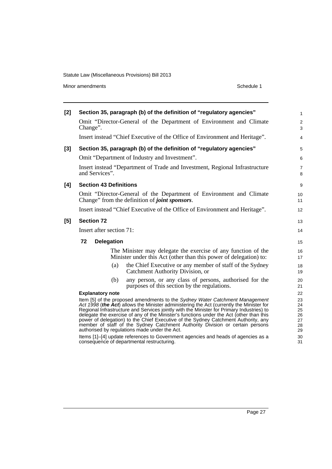Minor amendments **Schedule 1** 

| $[2]$ | Section 35, paragraph (b) of the definition of "regulatory agencies"                                                                                                                                                                                                                                                                                                                                                                                                                                                                                                                     | $\mathbf{1}$                           |
|-------|------------------------------------------------------------------------------------------------------------------------------------------------------------------------------------------------------------------------------------------------------------------------------------------------------------------------------------------------------------------------------------------------------------------------------------------------------------------------------------------------------------------------------------------------------------------------------------------|----------------------------------------|
|       | Omit "Director-General of the Department of Environment and Climate<br>Change".                                                                                                                                                                                                                                                                                                                                                                                                                                                                                                          | $\overline{2}$<br>3                    |
|       | Insert instead "Chief Executive of the Office of Environment and Heritage".                                                                                                                                                                                                                                                                                                                                                                                                                                                                                                              | $\overline{4}$                         |
| $[3]$ | Section 35, paragraph (b) of the definition of "regulatory agencies"                                                                                                                                                                                                                                                                                                                                                                                                                                                                                                                     | 5                                      |
|       | Omit "Department of Industry and Investment".                                                                                                                                                                                                                                                                                                                                                                                                                                                                                                                                            | 6                                      |
|       | Insert instead "Department of Trade and Investment, Regional Infrastructure<br>and Services".                                                                                                                                                                                                                                                                                                                                                                                                                                                                                            | $\overline{7}$<br>8                    |
| [4]   | <b>Section 43 Definitions</b>                                                                                                                                                                                                                                                                                                                                                                                                                                                                                                                                                            | 9                                      |
|       | Omit "Director-General of the Department of Environment and Climate<br>Change" from the definition of <i>joint sponsors</i> .                                                                                                                                                                                                                                                                                                                                                                                                                                                            | 10<br>11                               |
|       | Insert instead "Chief Executive of the Office of Environment and Heritage".                                                                                                                                                                                                                                                                                                                                                                                                                                                                                                              | 12                                     |
| [5]   | <b>Section 72</b>                                                                                                                                                                                                                                                                                                                                                                                                                                                                                                                                                                        | 13                                     |
|       | Insert after section 71:                                                                                                                                                                                                                                                                                                                                                                                                                                                                                                                                                                 | 14                                     |
|       | 72<br><b>Delegation</b>                                                                                                                                                                                                                                                                                                                                                                                                                                                                                                                                                                  | 15                                     |
|       | The Minister may delegate the exercise of any function of the<br>Minister under this Act (other than this power of delegation) to:                                                                                                                                                                                                                                                                                                                                                                                                                                                       | 16<br>17                               |
|       | the Chief Executive or any member of staff of the Sydney<br>(a)<br>Catchment Authority Division, or                                                                                                                                                                                                                                                                                                                                                                                                                                                                                      | 18<br>19                               |
|       | any person, or any class of persons, authorised for the<br>(b)<br>purposes of this section by the regulations.                                                                                                                                                                                                                                                                                                                                                                                                                                                                           | 20<br>21                               |
|       | <b>Explanatory note</b>                                                                                                                                                                                                                                                                                                                                                                                                                                                                                                                                                                  | 22                                     |
|       | Item [5] of the proposed amendments to the Sydney Water Catchment Management<br>Act 1998 (the Act) allows the Minister administering the Act (currently the Minister for<br>Regional Infrastructure and Services jointly with the Minister for Primary Industries) to<br>delegate the exercise of any of the Minister's functions under the Act (other than this<br>power of delegation) to the Chief Executive of the Sydney Catchment Authority, any<br>member of staff of the Sydney Catchment Authority Division or certain persons<br>authorised by regulations made under the Act. | 23<br>24<br>25<br>26<br>27<br>28<br>29 |
|       | Items [1]–[4] update references to Government agencies and heads of agencies as a<br>consequence of departmental restructuring.                                                                                                                                                                                                                                                                                                                                                                                                                                                          | 30<br>31                               |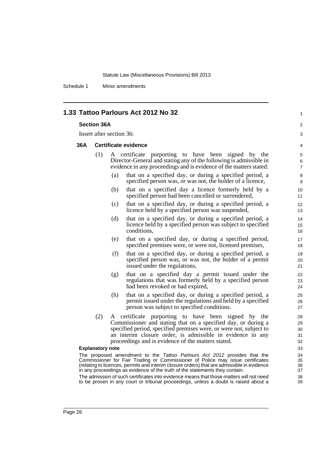Schedule 1 Minor amendments

| 1.33 Tattoo Parlours Act 2012 No 32 |  |
|-------------------------------------|--|
|-------------------------------------|--|

#### **Section 36A**

Insert after section 36:

### 36A C

|     | <b>Certificate evidence</b> |                                                                                                                                                                                                 |  |  |
|-----|-----------------------------|-------------------------------------------------------------------------------------------------------------------------------------------------------------------------------------------------|--|--|
| (1) |                             | A certificate purporting to have been signed by the<br>Director-General and stating any of the following is admissible in<br>evidence in any proceedings and is evidence of the matters stated: |  |  |
|     | (a)                         | that on a specified day, or during a specified period, a<br>specified person was, or was not, the holder of a licence,                                                                          |  |  |
|     | (b)                         | that on a specified day a licence formerly held by a<br>specified person had been cancelled or surrendered,                                                                                     |  |  |
|     | (c)                         | that on a specified day, or during a specified period, a<br>licence held by a specified person was suspended,                                                                                   |  |  |
|     | (d)                         | that on a specified day, or during a specified period, a<br>licence held by a specified person was subject to specified<br>conditions,                                                          |  |  |
|     | (e)                         | that on a specified day, or during a specified period,<br>specified premises were, or were not, licensed premises,                                                                              |  |  |
|     | (f)                         | that on a specified day, or during a specified period, a<br>specified person was, or was not, the holder of a permit<br>issued under the regulations,                                           |  |  |
|     | (g)                         | that on a specified day a permit issued under the<br>regulations that was formerly held by a specified person<br>had been revoked or had expired,                                               |  |  |
|     | (h)                         | that on a specified day, or during a specified period, a<br>permit issued under the regulations and held by a specified<br>person was subject to specified conditions.                          |  |  |
| (2) |                             | A certificate purporting to have been signed by<br>the<br>Commissioner and stating that on a specified day, or during a<br>specified period, specified premises were, or were not, subject to   |  |  |

1

2 3

an interim closure order, is admissible in evidence in any proceedings and is evidence of the matters stated.

#### **Explanatory note**

The proposed amendment to the *Tattoo Parlours Act 2012* provides that the Commissioner for Fair Trading or Commissioner of Police may issue certificates (relating to licences, permits and interim closure orders) that are admissible in evidence in any proceedings as evidence of the truth of the statements they contain.

The admission of such certificates into evidence means that those matters will not need to be proven in any court or tribunal proceedings, unless a doubt is raised about a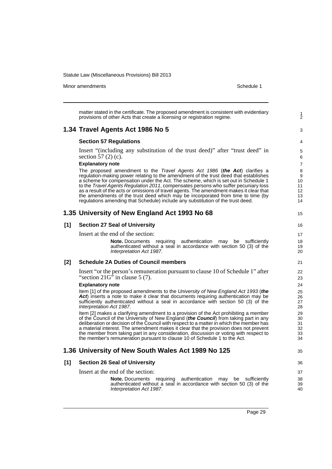Minor amendments **Schedule 1** and the state of the state of the state of the Schedule 1

1 2

3

35

matter stated in the certificate. The proposed amendment is consistent with evidentiary provisions of other Acts that create a licensing or registration regime. **1.34 Travel Agents Act 1986 No 5 Section 57 Regulations** Insert "(including any substitution of the trust deed)" after "trust deed" in section 57 (2) (c). **Explanatory note** The proposed amendment to the *Travel Agents Act 1986* (*the Act*) clarifies a regulation-making power relating to the amendment of the trust deed that establishes a scheme for compensation under the Act. The scheme, which is set out in Schedule 1 to the *Travel Agents Regulation 2011*, compensates persons who suffer pecuniary loss as a result of the acts or omissions of travel agents. The amendment makes it clear that the amendments of the trust deed which may be incorporated from time to time (by regulations amending that Schedule) include any substitution of the trust deed. **1.35 University of New England Act 1993 No 68 [1] Section 27 Seal of University** Insert at the end of the section: **Note.** Documents requiring authentication may be sufficiently authenticated without a seal in accordance with section 50 (3) of the *Interpretation Act 1987*. **[2] Schedule 2A Duties of Council members** Insert "or the person's remuneration pursuant to clause 10 of Schedule 1" after "section  $21G^5$  in clause 5 (7). **Explanatory note** Item [1] of the proposed amendments to the *University of New England Act 1993* (*the Act*) inserts a note to make it clear that documents requiring authentication may be sufficiently authenticated without a seal in accordance with section 50 (3) of the *Interpretation Act 1987*. Item [2] makes a clarifying amendment to a provision of the Act prohibiting a member of the Council of the University of New England (*the Council*) from taking part in any deliberation or decision of the Council with respect to a matter in which the member has a material interest. The amendment makes it clear that the provision does not prevent the member from taking part in any consideration, discussion or voting with respect to the member's remuneration pursuant to clause 10 of Schedule 1 to the Act. **1.36 University of New South Wales Act 1989 No 125 [1] Section 26 Seal of University** Insert at the end of the section: **Note.** Documents requiring authentication may be sufficiently authenticated without a seal in accordance with section 50 (3) of the *Interpretation Act 1987*.

Page 29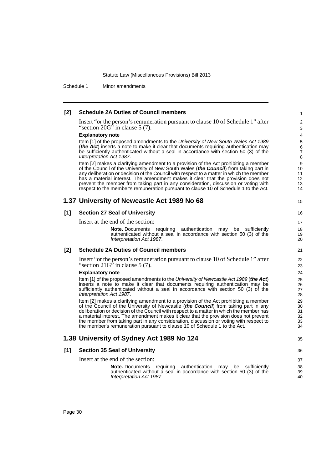Schedule 1 Minor amendments

#### **[2] Schedule 2A Duties of Council members**

Insert "or the person's remuneration pursuant to clause 10 of Schedule 1" after "section  $20G^3$  in clause 5 (7).

#### **Explanatory note**

Item [1] of the proposed amendments to the *University of New South Wales Act 1989* (*the Act*) inserts a note to make it clear that documents requiring authentication may be sufficiently authenticated without a seal in accordance with section 50 (3) of the *Interpretation Act 1987*.

Item [2] makes a clarifying amendment to a provision of the Act prohibiting a member of the Council of the University of New South Wales (*the Council*) from taking part in any deliberation or decision of the Council with respect to a matter in which the member has a material interest. The amendment makes it clear that the provision does not prevent the member from taking part in any consideration, discussion or voting with respect to the member's remuneration pursuant to clause 10 of Schedule 1 to the Act.

#### **1.37 University of Newcastle Act 1989 No 68**

#### **[1] Section 27 Seal of University**

Insert at the end of the section:

**Note.** Documents requiring authentication may be sufficiently authenticated without a seal in accordance with section 50 (3) of the *Interpretation Act 1987*.

#### **[2] Schedule 2A Duties of Council members**

Insert "or the person's remuneration pursuant to clause 10 of Schedule 1" after "section  $21G'$  in clause 5 (7).

#### **Explanatory note**

Item [1] of the proposed amendments to the *University of Newcastle Act 1989* (*the Act*) inserts a note to make it clear that documents requiring authentication may be sufficiently authenticated without a seal in accordance with section 50 (3) of the *Interpretation Act 1987*.

Item [2] makes a clarifying amendment to a provision of the Act prohibiting a member of the Council of the University of Newcastle (*the Council*) from taking part in any deliberation or decision of the Council with respect to a matter in which the member has a material interest. The amendment makes it clear that the provision does not prevent the member from taking part in any consideration, discussion or voting with respect to the member's remuneration pursuant to clause 10 of Schedule 1 to the Act.

### **1.38 University of Sydney Act 1989 No 124**

## 35

15

#### **[1] Section 35 Seal of University**

Insert at the end of the section:

**Note.** Documents requiring authentication may be sufficiently authenticated without a seal in accordance with section 50 (3) of the *Interpretation Act 1987*.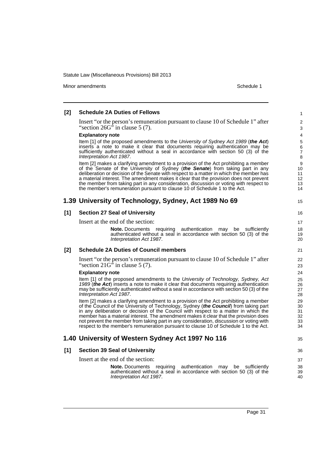Minor amendments **Schedule 1** and the state of the state of the state of the Schedule 1

#### **[2] Schedule 2A Duties of Fellows** Insert "or the person's remuneration pursuant to clause 10 of Schedule 1" after "section  $26G^3$  in clause 5 (7). **Explanatory note** Item [1] of the proposed amendments to the *University of Sydney Act 1989* (*the Act*) inserts a note to make it clear that documents requiring authentication may be sufficiently authenticated without a seal in accordance with section 50 (3) of the *Interpretation Act 1987*. Item [2] makes a clarifying amendment to a provision of the Act prohibiting a member of the Senate of the University of Sydney (*the Senate*) from taking part in any deliberation or decision of the Senate with respect to a matter in which the member has a material interest. The amendment makes it clear that the provision does not prevent the member from taking part in any consideration, discussion or voting with respect to the member's remuneration pursuant to clause 10 of Schedule 1 to the Act. **1.39 University of Technology, Sydney, Act 1989 No 69 [1] Section 27 Seal of University** Insert at the end of the section: **Note.** Documents requiring authentication may be sufficiently authenticated without a seal in accordance with section 50 (3) of the *Interpretation Act 1987*. **[2] Schedule 2A Duties of Council members** Insert "or the person's remuneration pursuant to clause 10 of Schedule 1" after "section  $21G'$  in clause 5 (7). **Explanatory note** Item [1] of the proposed amendments to the *University of Technology, Sydney, Act 1989* (*the Act*) inserts a note to make it clear that documents requiring authentication may be sufficiently authenticated without a seal in accordance with section 50 (3) of the *Interpretation Act 1987*. Item [2] makes a clarifying amendment to a provision of the Act prohibiting a member of the Council of the University of Technology, Sydney (*the Council*) from taking part in any deliberation or decision of the Council with respect to a matter in which the member has a material interest. The amendment makes it clear that the provision does not prevent the member from taking part in any consideration, discussion or voting with respect to the member's remuneration pursuant to clause 10 of Schedule 1 to the Act. **1.40 University of Western Sydney Act 1997 No 116 [1] Section 39 Seal of University** Insert at the end of the section: **Note.** Documents requiring authentication may be sufficiently authenticated without a seal in accordance with section 50 (3) of the *Interpretation Act 1987*. 1  $\mathfrak{p}$ 3 4 5 6 7 8 9 10 11 12 13 14 15 16 17 18 19 20 21 22 23 24 25 26 27 28 29 30 31 32 33 34 35 36 37 38 39 40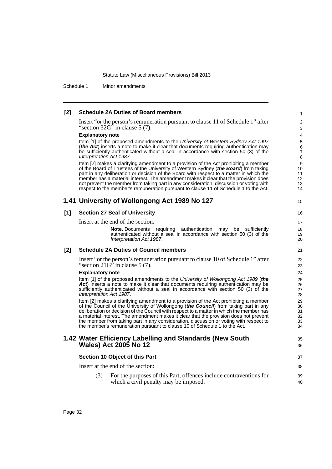Schedule 1 Minor amendments

| [2] | <b>Schedule 2A Duties of Board members</b>                                                                                                                                                                                                                                                                                                                                                                                                                                                                                                         | $\mathbf{1}$                     |
|-----|----------------------------------------------------------------------------------------------------------------------------------------------------------------------------------------------------------------------------------------------------------------------------------------------------------------------------------------------------------------------------------------------------------------------------------------------------------------------------------------------------------------------------------------------------|----------------------------------|
|     | Insert "or the person's remuneration pursuant to clause 11 of Schedule 1" after<br>"section $32G$ " in clause 5 (7).                                                                                                                                                                                                                                                                                                                                                                                                                               | $\overline{2}$<br>3              |
|     | <b>Explanatory note</b>                                                                                                                                                                                                                                                                                                                                                                                                                                                                                                                            | 4                                |
|     | Item [1] of the proposed amendments to the University of Western Sydney Act 1997<br>(the Act) inserts a note to make it clear that documents requiring authentication may<br>be sufficiently authenticated without a seal in accordance with section 50 (3) of the<br>Interpretation Act 1987.                                                                                                                                                                                                                                                     | 5<br>6<br>$\overline{7}$<br>8    |
|     | Item [2] makes a clarifying amendment to a provision of the Act prohibiting a member<br>of the Board of Trustees of the University of Western Sydney (the Board) from taking<br>part in any deliberation or decision of the Board with respect to a matter in which the<br>member has a material interest. The amendment makes it clear that the provision does<br>not prevent the member from taking part in any consideration, discussion or voting with<br>respect to the member's remuneration pursuant to clause 11 of Schedule 1 to the Act. | 9<br>10<br>11<br>12<br>13<br>14  |
|     | 1.41 University of Wollongong Act 1989 No 127                                                                                                                                                                                                                                                                                                                                                                                                                                                                                                      | 15                               |
| [1] | <b>Section 27 Seal of University</b>                                                                                                                                                                                                                                                                                                                                                                                                                                                                                                               | 16                               |
|     | Insert at the end of the section:                                                                                                                                                                                                                                                                                                                                                                                                                                                                                                                  | 17                               |
|     | <b>Note.</b> Documents requiring authentication may<br>be<br>sufficiently<br>authenticated without a seal in accordance with section 50 (3) of the<br>Interpretation Act 1987.                                                                                                                                                                                                                                                                                                                                                                     | 18<br>19<br>20                   |
| [2] | <b>Schedule 2A Duties of Council members</b>                                                                                                                                                                                                                                                                                                                                                                                                                                                                                                       | 21                               |
|     | Insert "or the person's remuneration pursuant to clause 10 of Schedule 1" after<br>"section $21G$ " in clause 5 (7).                                                                                                                                                                                                                                                                                                                                                                                                                               | 22<br>23                         |
|     | <b>Explanatory note</b>                                                                                                                                                                                                                                                                                                                                                                                                                                                                                                                            | 24                               |
|     | Item [1] of the proposed amendments to the University of Wollongong Act 1989 (the<br>Act) inserts a note to make it clear that documents requiring authentication may be<br>sufficiently authenticated without a seal in accordance with section 50 (3) of the<br>Interpretation Act 1987.                                                                                                                                                                                                                                                         | 25<br>26<br>27<br>28             |
|     | Item [2] makes a clarifying amendment to a provision of the Act prohibiting a member<br>of the Council of the University of Wollongong (the Council) from taking part in any<br>deliberation or decision of the Council with respect to a matter in which the member has<br>a material interest. The amendment makes it clear that the provision does not prevent<br>the member from taking part in any consideration, discussion or voting with respect to<br>the member's remuneration pursuant to clause 10 of Schedule 1 to the Act.           | 29<br>30<br>31<br>32<br>33<br>34 |
|     | 1.42 Water Efficiency Labelling and Standards (New South<br><b>Wales) Act 2005 No 12</b>                                                                                                                                                                                                                                                                                                                                                                                                                                                           | 35<br>36                         |
|     | Section 10 Object of this Part                                                                                                                                                                                                                                                                                                                                                                                                                                                                                                                     | 37                               |
|     | Insert at the end of the section:                                                                                                                                                                                                                                                                                                                                                                                                                                                                                                                  | 38                               |
|     | (3)<br>For the purposes of this Part, offences include contraventions for<br>which a civil penalty may be imposed.                                                                                                                                                                                                                                                                                                                                                                                                                                 | 39<br>40                         |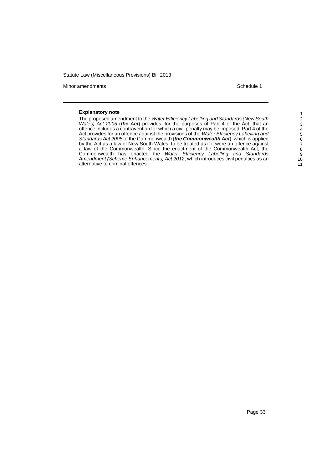Minor amendments **Schedule 1** and the state of the state of the state of the Schedule 1

#### **Explanatory note**

The proposed amendment to the *Water Efficiency Labelling and Standards (New South Wales) Act 2005* (*the Act*) provides, for the purposes of Part 4 of the Act, that an offence includes a contravention for which a civil penalty may be imposed. Part 4 of the Act provides for an offence against the provisions of the *Water Efficiency Labelling and Standards Act 2005* of the Commonwealth (*the Commonwealth Act*), which is applied by the Act as a law of New South Wales, to be treated as if it were an offence against a law of the Commonwealth. Since the enactment of the Commonwealth Act, the Commonwealth has enacted the *Water Efficiency Labelling and Standards Amendment (Scheme Enhancements) Act 2012*, which introduces civil penalties as an alternative to criminal offences.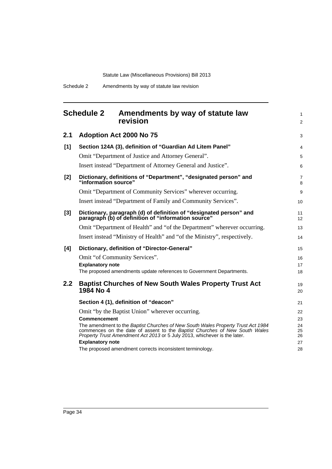<span id="page-39-0"></span>

|                  | <b>Schedule 2</b><br>Amendments by way of statute law<br>revision                                                                                                                                                                           | $\mathbf{1}$<br>$\overline{2}$ |
|------------------|---------------------------------------------------------------------------------------------------------------------------------------------------------------------------------------------------------------------------------------------|--------------------------------|
| 2.1              | Adoption Act 2000 No 75                                                                                                                                                                                                                     | 3                              |
| [1]              | Section 124A (3), definition of "Guardian Ad Litem Panel"                                                                                                                                                                                   | $\overline{4}$                 |
|                  | Omit "Department of Justice and Attorney General".                                                                                                                                                                                          | 5                              |
|                  | Insert instead "Department of Attorney General and Justice".                                                                                                                                                                                | 6                              |
| [2]              | Dictionary, definitions of "Department", "designated person" and<br>"information source"                                                                                                                                                    | $\overline{7}$<br>8            |
|                  | Omit "Department of Community Services" wherever occurring.                                                                                                                                                                                 | 9                              |
|                  | Insert instead "Department of Family and Community Services".                                                                                                                                                                               | 10                             |
| [3]              | Dictionary, paragraph (d) of definition of "designated person" and<br>paragraph (b) of definition of "information source"                                                                                                                   | 11<br>12                       |
|                  | Omit "Department of Health" and "of the Department" wherever occurring.                                                                                                                                                                     | 13                             |
|                  | Insert instead "Ministry of Health" and "of the Ministry", respectively.                                                                                                                                                                    | 14                             |
| [4]              | Dictionary, definition of "Director-General"                                                                                                                                                                                                | 15                             |
|                  | Omit "of Community Services".                                                                                                                                                                                                               | 16                             |
|                  | <b>Explanatory note</b>                                                                                                                                                                                                                     | 17                             |
|                  | The proposed amendments update references to Government Departments.                                                                                                                                                                        | 18                             |
| 2.2 <sub>2</sub> | <b>Baptist Churches of New South Wales Property Trust Act</b><br>1984 No 4                                                                                                                                                                  | 19<br>20                       |
|                  | Section 4 (1), definition of "deacon"                                                                                                                                                                                                       | 21                             |
|                  | Omit "by the Baptist Union" wherever occurring.                                                                                                                                                                                             | 22                             |
|                  | <b>Commencement</b>                                                                                                                                                                                                                         | 23                             |
|                  | The amendment to the Baptist Churches of New South Wales Property Trust Act 1984<br>commences on the date of assent to the Baptist Churches of New South Wales<br>Property Trust Amendment Act 2013 or 5 July 2013, whichever is the later. | 24<br>25<br>26                 |
|                  | <b>Explanatory note</b>                                                                                                                                                                                                                     | 27                             |
|                  | The proposed amendment corrects inconsistent terminology.                                                                                                                                                                                   | 28                             |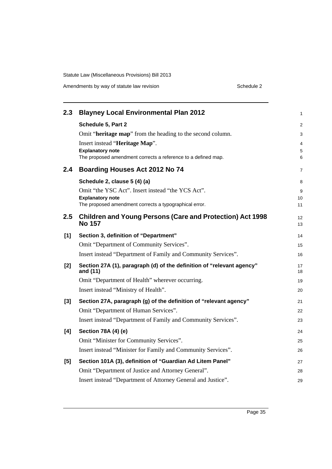| 2.3   | <b>Blayney Local Environmental Plan 2012</b>                                             | 1              |
|-------|------------------------------------------------------------------------------------------|----------------|
|       | Schedule 5, Part 2                                                                       | $\overline{2}$ |
|       | Omit "heritage map" from the heading to the second column.                               | 3              |
|       | Insert instead "Heritage Map".                                                           | 4              |
|       | <b>Explanatory note</b><br>The proposed amendment corrects a reference to a defined map. | 5<br>6         |
|       |                                                                                          |                |
| 2.4   | <b>Boarding Houses Act 2012 No 74</b>                                                    | 7              |
|       | Schedule 2, clause 5 (4) (a)                                                             | 8              |
|       | Omit "the YSC Act". Insert instead "the YCS Act".                                        | 9              |
|       | <b>Explanatory note</b><br>The proposed amendment corrects a typographical error.        | 10<br>11       |
|       |                                                                                          |                |
| 2.5   | <b>Children and Young Persons (Care and Protection) Act 1998</b><br><b>No 157</b>        | 12<br>13       |
| [1]   | Section 3, definition of "Department"                                                    | 14             |
|       | Omit "Department of Community Services".                                                 | 15             |
|       | Insert instead "Department of Family and Community Services".                            | 16             |
| [2]   | Section 27A (1), paragraph (d) of the definition of "relevant agency"<br>and (11)        | 17<br>18       |
|       | Omit "Department of Health" wherever occurring.                                          | 19             |
|       | Insert instead "Ministry of Health".                                                     | 20             |
| $[3]$ | Section 27A, paragraph (g) of the definition of "relevant agency"                        | 21             |
|       | Omit "Department of Human Services".                                                     | 22             |
|       | Insert instead "Department of Family and Community Services".                            | 23             |
| [4]   | Section 78A (4) (e)                                                                      | 24             |
|       | Omit "Minister for Community Services".                                                  | 25             |
|       | Insert instead "Minister for Family and Community Services".                             | 26             |
| [5]   | Section 101A (3), definition of "Guardian Ad Litem Panel"                                | 27             |
|       | Omit "Department of Justice and Attorney General".                                       | 28             |
|       | Insert instead "Department of Attorney General and Justice".                             | 29             |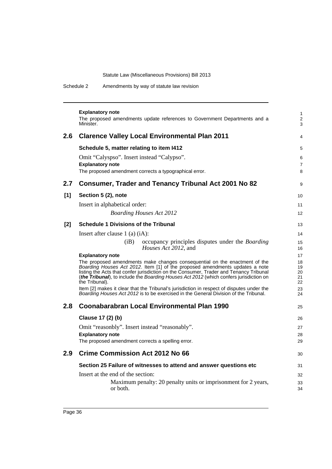Schedule 2 Amendments by way of statute law revision

|     | <b>Explanatory note</b><br>The proposed amendments update references to Government Departments and a<br>Minister.                                                                                                                                                                                                                                                | $\mathbf{1}$<br>$\overline{2}$<br>3 |
|-----|------------------------------------------------------------------------------------------------------------------------------------------------------------------------------------------------------------------------------------------------------------------------------------------------------------------------------------------------------------------|-------------------------------------|
| 2.6 | <b>Clarence Valley Local Environmental Plan 2011</b>                                                                                                                                                                                                                                                                                                             | $\overline{\mathbf{4}}$             |
|     | Schedule 5, matter relating to item I412                                                                                                                                                                                                                                                                                                                         | 5                                   |
|     | Omit "Calyspso". Insert instead "Calypso".                                                                                                                                                                                                                                                                                                                       | 6                                   |
|     | <b>Explanatory note</b>                                                                                                                                                                                                                                                                                                                                          | $\overline{7}$                      |
|     | The proposed amendment corrects a typographical error.                                                                                                                                                                                                                                                                                                           | 8                                   |
| 2.7 | <b>Consumer, Trader and Tenancy Tribunal Act 2001 No 82</b>                                                                                                                                                                                                                                                                                                      | 9                                   |
| [1] | Section 5 (2), note                                                                                                                                                                                                                                                                                                                                              | 10                                  |
|     | Insert in alphabetical order:                                                                                                                                                                                                                                                                                                                                    | 11                                  |
|     | <b>Boarding Houses Act 2012</b>                                                                                                                                                                                                                                                                                                                                  | 12                                  |
| [2] | <b>Schedule 1 Divisions of the Tribunal</b>                                                                                                                                                                                                                                                                                                                      | 13                                  |
|     | Insert after clause $1$ (a) (iA):                                                                                                                                                                                                                                                                                                                                | 14                                  |
|     | (iB)<br>occupancy principles disputes under the <i>Boarding</i><br>Houses Act 2012, and                                                                                                                                                                                                                                                                          | 15<br>16                            |
|     | <b>Explanatory note</b>                                                                                                                                                                                                                                                                                                                                          | 17                                  |
|     | The proposed amendments make changes consequential on the enactment of the<br>Boarding Houses Act 2012. Item [1] of the proposed amendments updates a note<br>listing the Acts that confer jurisdiction on the Consumer, Trader and Tenancy Tribunal<br>(the Tribunal), to include the Boarding Houses Act 2012 (which confers jurisdiction on<br>the Tribunal). | 18<br>19<br>20<br>21<br>22          |
|     | Item [2] makes it clear that the Tribunal's jurisdiction in respect of disputes under the<br><i>Boarding Houses Act 2012</i> is to be exercised in the General Division of the Tribunal.                                                                                                                                                                         | 23<br>24                            |
| 2.8 | Coonabarabran Local Environmental Plan 1990                                                                                                                                                                                                                                                                                                                      | 25                                  |
|     | Clause 17 (2) (b)                                                                                                                                                                                                                                                                                                                                                | 26                                  |
|     | Omit "reasonbly". Insert instead "reasonably".                                                                                                                                                                                                                                                                                                                   | 27                                  |
|     | <b>Explanatory note</b>                                                                                                                                                                                                                                                                                                                                          | 28                                  |
|     | The proposed amendment corrects a spelling error.                                                                                                                                                                                                                                                                                                                | 29                                  |
| 2.9 | <b>Crime Commission Act 2012 No 66</b>                                                                                                                                                                                                                                                                                                                           | 30                                  |
|     | Section 25 Failure of witnesses to attend and answer questions etc                                                                                                                                                                                                                                                                                               | 31                                  |
|     | Insert at the end of the section:                                                                                                                                                                                                                                                                                                                                | 32                                  |
|     | Maximum penalty: 20 penalty units or imprisonment for 2 years,<br>or both.                                                                                                                                                                                                                                                                                       | 33<br>34                            |
|     |                                                                                                                                                                                                                                                                                                                                                                  |                                     |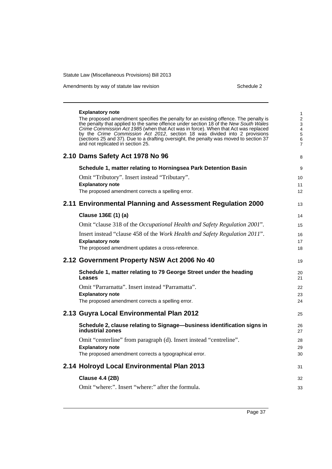Amendments by way of statute law revision example 2 Schedule 2

| <b>Explanatory note</b><br>The proposed amendment specifies the penalty for an existing offence. The penalty is<br>the penalty that applied to the same offence under section 18 of the New South Wales<br>Crime Commission Act 1985 (when that Act was in force). When that Act was replaced<br>by the Crime Commission Act 2012, section 18 was divided into 2 provisions<br>(sections 25 and 37). Due to a drafting oversight, the penalty was moved to section 37<br>and not replicated in section 25. | 1<br>$\overline{\mathbf{c}}$<br>3<br>4<br>5<br>6<br>7 |
|------------------------------------------------------------------------------------------------------------------------------------------------------------------------------------------------------------------------------------------------------------------------------------------------------------------------------------------------------------------------------------------------------------------------------------------------------------------------------------------------------------|-------------------------------------------------------|
| 2.10 Dams Safety Act 1978 No 96                                                                                                                                                                                                                                                                                                                                                                                                                                                                            | 8                                                     |
| Schedule 1, matter relating to Horningsea Park Detention Basin                                                                                                                                                                                                                                                                                                                                                                                                                                             | 9                                                     |
| Omit "Tributory". Insert instead "Tributary".                                                                                                                                                                                                                                                                                                                                                                                                                                                              | 10                                                    |
| <b>Explanatory note</b><br>The proposed amendment corrects a spelling error.                                                                                                                                                                                                                                                                                                                                                                                                                               | 11<br>12                                              |
| 2.11 Environmental Planning and Assessment Regulation 2000                                                                                                                                                                                                                                                                                                                                                                                                                                                 | 13                                                    |
| Clause 136E (1) (a)                                                                                                                                                                                                                                                                                                                                                                                                                                                                                        | 14                                                    |
| Omit "clause 318 of the Occupational Health and Safety Regulation 2001".                                                                                                                                                                                                                                                                                                                                                                                                                                   | 15                                                    |
| Insert instead "clause 458 of the Work Health and Safety Regulation 2011".<br><b>Explanatory note</b>                                                                                                                                                                                                                                                                                                                                                                                                      | 16<br>17                                              |
| The proposed amendment updates a cross-reference.                                                                                                                                                                                                                                                                                                                                                                                                                                                          | 18                                                    |
| 2.12 Government Property NSW Act 2006 No 40                                                                                                                                                                                                                                                                                                                                                                                                                                                                | 19                                                    |
| Schedule 1, matter relating to 79 George Street under the heading<br>Leases                                                                                                                                                                                                                                                                                                                                                                                                                                | 20<br>21                                              |
| Omit "Parrarnatta". Insert instead "Parramatta".                                                                                                                                                                                                                                                                                                                                                                                                                                                           | 22                                                    |
| <b>Explanatory note</b><br>The proposed amendment corrects a spelling error.                                                                                                                                                                                                                                                                                                                                                                                                                               | 23<br>24                                              |
| 2.13 Guyra Local Environmental Plan 2012                                                                                                                                                                                                                                                                                                                                                                                                                                                                   | 25                                                    |
| Schedule 2, clause relating to Signage-business identification signs in<br>industrial zones                                                                                                                                                                                                                                                                                                                                                                                                                | 26<br>27                                              |
| Omit "centerline" from paragraph (d). Insert instead "centreline".<br><b>Explanatory note</b>                                                                                                                                                                                                                                                                                                                                                                                                              | 28<br>29                                              |
| The proposed amendment corrects a typographical error.                                                                                                                                                                                                                                                                                                                                                                                                                                                     | 30                                                    |
| 2.14 Holroyd Local Environmental Plan 2013                                                                                                                                                                                                                                                                                                                                                                                                                                                                 | 31                                                    |
| <b>Clause 4.4 (2B)</b>                                                                                                                                                                                                                                                                                                                                                                                                                                                                                     | 32                                                    |
| Omit "where:". Insert "where:" after the formula.                                                                                                                                                                                                                                                                                                                                                                                                                                                          | 33                                                    |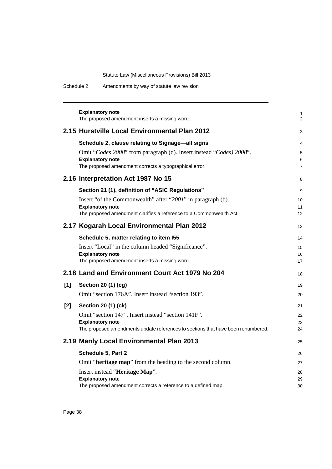Schedule 2 Amendments by way of statute law revision

|       | <b>Explanatory note</b><br>The proposed amendment inserts a missing word.                                   | 1<br>2              |
|-------|-------------------------------------------------------------------------------------------------------------|---------------------|
|       | 2.15 Hurstville Local Environmental Plan 2012                                                               | 3                   |
|       | Schedule 2, clause relating to Signage-all signs                                                            | 4                   |
|       | Omit "Codes 2008" from paragraph (d). Insert instead "Codes) 2008".                                         | 5                   |
|       | <b>Explanatory note</b><br>The proposed amendment corrects a typographical error.                           | 6<br>$\overline{7}$ |
|       | 2.16 Interpretation Act 1987 No 15                                                                          | 8                   |
|       | Section 21 (1), definition of "ASIC Regulations"                                                            | 9                   |
|       | Insert "of the Commonwealth" after "2001" in paragraph (b).                                                 | 10                  |
|       | <b>Explanatory note</b><br>The proposed amendment clarifies a reference to a Commonwealth Act.              | 11<br>12            |
|       | 2.17 Kogarah Local Environmental Plan 2012                                                                  | 13                  |
|       | Schedule 5, matter relating to item I55                                                                     | 14                  |
|       | Insert "Local" in the column headed "Significance".                                                         | 15                  |
|       | <b>Explanatory note</b><br>The proposed amendment inserts a missing word.                                   | 16<br>17            |
|       | 2.18 Land and Environment Court Act 1979 No 204                                                             | 18                  |
| [1]   | Section 20 (1) (cg)                                                                                         | 19                  |
|       | Omit "section 176A". Insert instead "section 193".                                                          | 20                  |
| $[2]$ | <b>Section 20 (1) (ck)</b>                                                                                  | 21                  |
|       | Omit "section 147". Insert instead "section 141F".                                                          | 22                  |
|       | <b>Explanatory note</b><br>The proposed amendments update references to sections that have been renumbered. | 23<br>24            |
|       | 2.19 Manly Local Environmental Plan 2013                                                                    |                     |
|       |                                                                                                             | 25                  |
|       | Schedule 5, Part 2                                                                                          | 26                  |
|       | Omit "heritage map" from the heading to the second column.                                                  | 27                  |
|       | Insert instead "Heritage Map".<br><b>Explanatory note</b>                                                   | 28<br>29            |
|       | The proposed amendment corrects a reference to a defined map.                                               | 30                  |
|       |                                                                                                             |                     |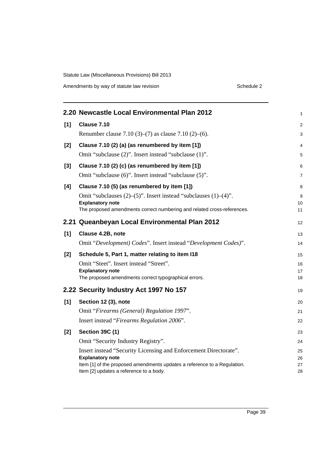Amendments by way of statute law revision example 2 Schedule 2

|       | 2.20 Newcastle Local Environmental Plan 2012                             | 1              |
|-------|--------------------------------------------------------------------------|----------------|
| [1]   | Clause 7.10                                                              | $\overline{2}$ |
|       | Renumber clause 7.10 (3)–(7) as clause 7.10 (2)–(6).                     | 3              |
| $[2]$ | Clause 7.10 (2) (a) (as renumbered by item [1])                          | $\overline{4}$ |
|       | Omit "subclause (2)". Insert instead "subclause (1)".                    | 5              |
| $[3]$ | Clause 7.10 (2) (c) (as renumbered by item [1])                          | 6              |
|       | Omit "subclause (6)". Insert instead "subclause (5)".                    | $\overline{7}$ |
| [4]   | Clause 7.10 (5) (as renumbered by item [1])                              | 8              |
|       | Omit "subclauses (2)–(5)". Insert instead "subclauses (1)–(4)".          | 9              |
|       | <b>Explanatory note</b>                                                  | 10             |
|       | The proposed amendments correct numbering and related cross-references.  | 11             |
|       | 2.21 Queanbeyan Local Environmental Plan 2012                            | 12             |
| [1]   | Clause 4.2B, note                                                        | 13             |
|       | Omit "Development) Codes". Insert instead "Development Codes)".          | 14             |
| $[2]$ | Schedule 5, Part 1, matter relating to item I18                          | 15             |
|       | Omit "Steet". Insert instead "Street".                                   | 16             |
|       | <b>Explanatory note</b>                                                  | 17             |
|       | The proposed amendments correct typographical errors.                    | 18             |
|       | 2.22 Security Industry Act 1997 No 157                                   | 19             |
| [1]   | Section 12 (3), note                                                     | 20             |
|       | Omit "Firearms (General) Regulation 1997".                               | 21             |
|       | Insert instead "Firearms Regulation 2006".                               | 22             |
| $[2]$ | <b>Section 39C (1)</b>                                                   | 23             |
|       | Omit "Security Industry Registry".                                       | 24             |
|       | Insert instead "Security Licensing and Enforcement Directorate".         | 25             |
|       | <b>Explanatory note</b>                                                  | 26             |
|       | Item [1] of the proposed amendments updates a reference to a Regulation. | 27             |
|       | Item [2] updates a reference to a body.                                  | 28             |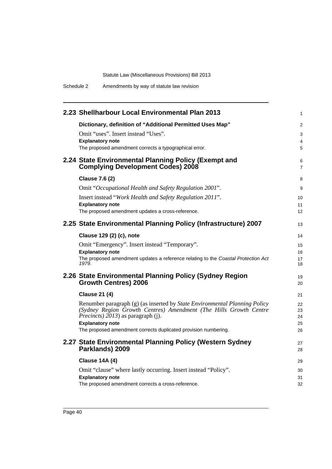| 2.23 Shellharbour Local Environmental Plan 2013                                                  | $\mathbf{1}$        |
|--------------------------------------------------------------------------------------------------|---------------------|
| Dictionary, definition of "Additional Permitted Uses Map"                                        | 2                   |
| Omit "uses". Insert instead "Uses".                                                              | 3                   |
| <b>Explanatory note</b>                                                                          | $\overline{4}$      |
| The proposed amendment corrects a typographical error.                                           | 5                   |
| 2.24 State Environmental Planning Policy (Exempt and<br><b>Complying Development Codes) 2008</b> | 6<br>$\overline{7}$ |
| <b>Clause 7.6 (2)</b>                                                                            | 8                   |
| Omit "Occupational Health and Safety Regulation 2001".                                           | 9                   |
| Insert instead "Work Health and Safety Regulation 2011".                                         | 10                  |
| <b>Explanatory note</b>                                                                          | 11                  |
| The proposed amendment updates a cross-reference.                                                | 12                  |
| 2.25 State Environmental Planning Policy (Infrastructure) 2007                                   | 13                  |
| Clause 129 (2) (c), note                                                                         | 14                  |
| Omit "Emergency". Insert instead "Temporary".                                                    | 15                  |
| <b>Explanatory note</b>                                                                          | 16                  |
| The proposed amendment updates a reference relating to the Coastal Protection Act<br>1979.       | 17<br>18            |
|                                                                                                  |                     |
| 2.26 State Environmental Planning Policy (Sydney Region<br><b>Growth Centres) 2006</b>           | 19                  |
|                                                                                                  | 20                  |
| <b>Clause 21 (4)</b>                                                                             | 21                  |
| Renumber paragraph (g) (as inserted by State Environmental Planning Policy                       | 22                  |
| (Sydney Region Growth Centres) Amendment (The Hills Growth Centre                                | 23                  |
| <i>Precincts</i> ) 2013) as paragraph (j).                                                       | 24                  |
| <b>Explanatory note</b>                                                                          | 25                  |
| The proposed amendment corrects duplicated provision numbering.                                  | 26                  |
| 2.27 State Environmental Planning Policy (Western Sydney                                         | 27                  |
| Parklands) 2009                                                                                  | 28                  |
| <b>Clause 14A (4)</b>                                                                            | 29                  |
| Omit "clause" where lastly occurring. Insert instead "Policy".                                   | 30                  |
| <b>Explanatory note</b>                                                                          | 31                  |
| The proposed amendment corrects a cross-reference.                                               | 32                  |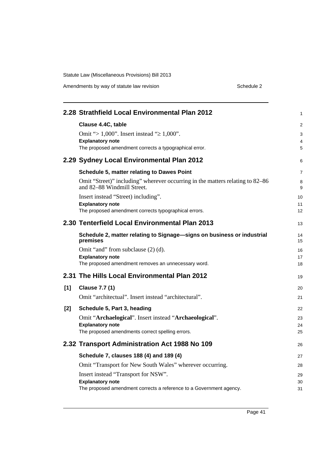Amendments by way of statute law revision example 2 Schedule 2

|       | 2.28 Strathfield Local Environmental Plan 2012                                                                                        | 1              |
|-------|---------------------------------------------------------------------------------------------------------------------------------------|----------------|
|       | Clause 4.4C, table<br>Omit "> 1,000". Insert instead " $\geq 1,000$ ".<br><b>Explanatory note</b>                                     | 2<br>3<br>4    |
|       | The proposed amendment corrects a typographical error.                                                                                | 5              |
|       | 2.29 Sydney Local Environmental Plan 2012                                                                                             | 6              |
|       | Schedule 5, matter relating to Dawes Point                                                                                            | 7              |
|       | Omit "Street)" including" wherever occurring in the matters relating to 82–86<br>and 82–88 Windmill Street.                           | 8<br>9         |
|       | Insert instead "Street) including".<br><b>Explanatory note</b><br>The proposed amendment corrects typographical errors.               | 10<br>11<br>12 |
|       | 2.30 Tenterfield Local Environmental Plan 2013                                                                                        | 13             |
|       | Schedule 2, matter relating to Signage-signs on business or industrial<br>premises                                                    | 14<br>15       |
|       | Omit "and" from subclause (2) (d).<br><b>Explanatory note</b><br>The proposed amendment removes an unnecessary word.                  | 16<br>17<br>18 |
|       | 2.31 The Hills Local Environmental Plan 2012                                                                                          | 19             |
| [1]   | <b>Clause 7.7 (1)</b><br>Omit "architectual". Insert instead "architectural".                                                         | 20<br>21       |
| $[2]$ | Schedule 5, Part 3, heading                                                                                                           | 22             |
|       | Omit "Archaelogical". Insert instead "Archaeological".<br><b>Explanatory note</b><br>The proposed amendments correct spelling errors. | 23<br>24<br>25 |
|       | 2.32 Transport Administration Act 1988 No 109                                                                                         | 26             |
|       | Schedule 7, clauses 188 (4) and 189 (4)                                                                                               | 27             |
|       | Omit "Transport for New South Wales" wherever occurring.                                                                              | 28             |
|       | Insert instead "Transport for NSW".<br><b>Explanatory note</b><br>The proposed amendment corrects a reference to a Government agency. | 29<br>30<br>31 |

Page 41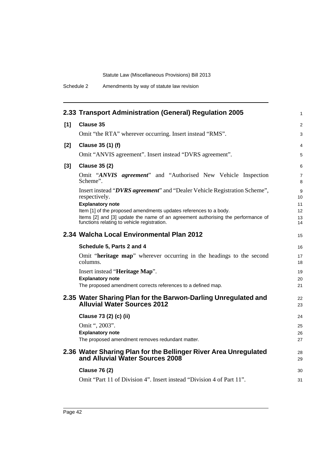Schedule 2 Amendments by way of statute law revision

|       | 2.33 Transport Administration (General) Regulation 2005                                                                                                                                              | $\mathbf{1}$        |
|-------|------------------------------------------------------------------------------------------------------------------------------------------------------------------------------------------------------|---------------------|
| [1]   | <b>Clause 35</b>                                                                                                                                                                                     | 2                   |
|       | Omit "the RTA" wherever occurring. Insert instead "RMS".                                                                                                                                             | 3                   |
| $[2]$ | Clause 35 (1) (f)                                                                                                                                                                                    | 4                   |
|       | Omit "ANVIS agreement". Insert instead "DVRS agreement".                                                                                                                                             | 5                   |
| $[3]$ | <b>Clause 35 (2)</b>                                                                                                                                                                                 | 6                   |
|       | Omit "ANVIS agreement" and "Authorised New Vehicle Inspection<br>Scheme".                                                                                                                            | $\overline{7}$<br>8 |
|       | Insert instead "DVRS agreement" and "Dealer Vehicle Registration Scheme",<br>respectively.<br><b>Explanatory note</b>                                                                                | 9<br>10<br>11       |
|       | Item [1] of the proposed amendments updates references to a body.<br>Items [2] and [3] update the name of an agreement authorising the performance of<br>functions relating to vehicle registration. | 12<br>13<br>14      |
|       | 2.34 Walcha Local Environmental Plan 2012                                                                                                                                                            | 15                  |
|       | Schedule 5, Parts 2 and 4                                                                                                                                                                            | 16                  |
|       | Omit "heritage map" wherever occurring in the headings to the second<br>columns.                                                                                                                     | 17<br>18            |
|       | Insert instead "Heritage Map".<br><b>Explanatory note</b><br>The proposed amendment corrects references to a defined map.                                                                            | 19<br>20<br>21      |
|       | 2.35 Water Sharing Plan for the Barwon-Darling Unregulated and<br><b>Alluvial Water Sources 2012</b>                                                                                                 | 22<br>23            |
|       | Clause 73 (2) (c) (ii)                                                                                                                                                                               | 24                  |
|       | Omit ", 2003".<br><b>Explanatory note</b><br>The proposed amendment removes redundant matter.                                                                                                        | 25<br>26<br>27      |
|       | 2.36 Water Sharing Plan for the Bellinger River Area Unregulated<br>and Alluvial Water Sources 2008                                                                                                  | 28<br>29            |
|       | <b>Clause 76 (2)</b>                                                                                                                                                                                 | 30                  |
|       | Omit "Part 11 of Division 4". Insert instead "Division 4 of Part 11".                                                                                                                                | 31                  |
|       |                                                                                                                                                                                                      |                     |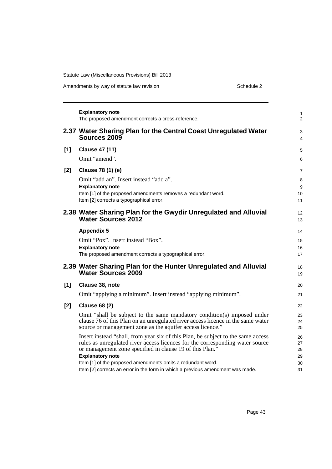Amendments by way of statute law revision example 2 Schedule 2

|       | <b>Explanatory note</b><br>The proposed amendment corrects a cross-reference.                                                                                                                                                                                                                                                                                                                             | 1<br>$\overline{2}$              |
|-------|-----------------------------------------------------------------------------------------------------------------------------------------------------------------------------------------------------------------------------------------------------------------------------------------------------------------------------------------------------------------------------------------------------------|----------------------------------|
|       | 2.37 Water Sharing Plan for the Central Coast Unregulated Water<br>Sources 2009                                                                                                                                                                                                                                                                                                                           | 3<br>4                           |
| $[1]$ | <b>Clause 47 (11)</b><br>Omit "amend".                                                                                                                                                                                                                                                                                                                                                                    | 5<br>6                           |
| $[2]$ | Clause 78 (1) (e)<br>Omit "add an". Insert instead "add a".<br><b>Explanatory note</b><br>Item [1] of the proposed amendments removes a redundant word.<br>Item [2] corrects a typographical error.                                                                                                                                                                                                       | 7<br>8<br>9<br>10<br>11          |
|       | 2.38 Water Sharing Plan for the Gwydir Unregulated and Alluvial<br><b>Water Sources 2012</b>                                                                                                                                                                                                                                                                                                              | 12<br>13                         |
|       | <b>Appendix 5</b><br>Omit "Pox". Insert instead "Box".<br><b>Explanatory note</b><br>The proposed amendment corrects a typographical error.                                                                                                                                                                                                                                                               | 14<br>15<br>16<br>17             |
|       | 2.39 Water Sharing Plan for the Hunter Unregulated and Alluvial<br><b>Water Sources 2009</b>                                                                                                                                                                                                                                                                                                              | 18<br>19                         |
| [1]   | Clause 38, note<br>Omit "applying a minimum". Insert instead "applying minimum".                                                                                                                                                                                                                                                                                                                          | 20<br>21                         |
| $[2]$ | <b>Clause 68 (2)</b><br>Omit "shall be subject to the same mandatory condition(s) imposed under<br>clause 76 of this Plan on an unregulated river access licence in the same water<br>source or management zone as the aquifer access licence."                                                                                                                                                           | 22<br>23<br>24<br>25             |
|       | Insert instead "shall, from year six of this Plan, be subject to the same access<br>rules as unregulated river access licences for the corresponding water source<br>or management zone specified in clause 19 of this Plan."<br><b>Explanatory note</b><br>Item [1] of the proposed amendments omits a redundant word.<br>Item [2] corrects an error in the form in which a previous amendment was made. | 26<br>27<br>28<br>29<br>30<br>31 |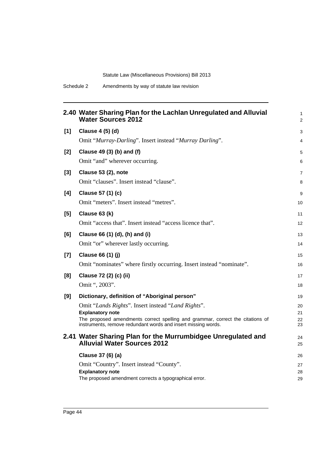|       | 2.40 Water Sharing Plan for the Lachlan Unregulated and Alluvial<br><b>Water Sources 2012</b>             | 1<br>$\overline{2}$ |
|-------|-----------------------------------------------------------------------------------------------------------|---------------------|
| $[1]$ | Clause 4 (5) (d)                                                                                          | 3                   |
|       | Omit "Murray-Darling". Insert instead "Murray Darling".                                                   | 4                   |
| [2]   | Clause 49 (3) (b) and (f)                                                                                 | 5                   |
|       | Omit "and" wherever occurring.                                                                            | 6                   |
| $[3]$ | Clause 53 (2), note                                                                                       | 7                   |
|       | Omit "clauses". Insert instead "clause".                                                                  | 8                   |
| [4]   | Clause 57 (1) (c)                                                                                         | 9                   |
|       | Omit "meters". Insert instead "metres".                                                                   | 10                  |
| [5]   | Clause 63 (k)                                                                                             | 11                  |
|       | Omit "access that". Insert instead "access licence that".                                                 | 12                  |
| [6]   | Clause 66 (1) (d), (h) and (i)                                                                            | 13                  |
|       | Omit "or" wherever lastly occurring.                                                                      | 14                  |
| $[7]$ | Clause 66 (1) (j)                                                                                         | 15                  |
|       | Omit "nominates" where firstly occurring. Insert instead "nominate".                                      | 16                  |
| [8]   | Clause 72 (2) (c) (ii)                                                                                    | 17                  |
|       | Omit ", 2003".                                                                                            | 18                  |
| [9]   | Dictionary, definition of "Aboriginal person"                                                             | 19                  |
|       | Omit "Lands Rights". Insert instead "Land Rights".                                                        | 20                  |
|       | <b>Explanatory note</b><br>The proposed amendments correct spelling and grammar, correct the citations of | 21<br>22            |
|       | instruments, remove redundant words and insert missing words.                                             | 23                  |
|       | 2.41 Water Sharing Plan for the Murrumbidgee Unregulated and<br><b>Alluvial Water Sources 2012</b>        | 24<br>25            |
|       | Clause 37 (6) (a)                                                                                         | 26                  |
|       | Omit "Country". Insert instead "County".                                                                  | 27                  |
|       | <b>Explanatory note</b><br>The proposed amendment corrects a typographical error.                         | 28<br>29            |
|       |                                                                                                           |                     |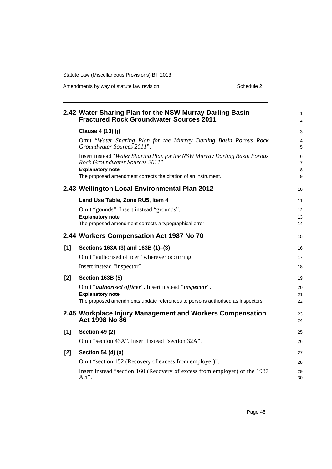Amendments by way of statute law revision example 2 Schedule 2

|       | 2.42 Water Sharing Plan for the NSW Murray Darling Basin<br><b>Fractured Rock Groundwater Sources 2011</b>    | 1<br>$\overline{2}$ |
|-------|---------------------------------------------------------------------------------------------------------------|---------------------|
|       | Clause 4 (13) (j)                                                                                             | 3                   |
|       | Omit "Water Sharing Plan for the Murray Darling Basin Porous Rock<br>Groundwater Sources 2011".               | 4<br>5              |
|       | Insert instead "Water Sharing Plan for the NSW Murray Darling Basin Porous<br>Rock Groundwater Sources 2011". | 6<br>7              |
|       | <b>Explanatory note</b><br>The proposed amendment corrects the citation of an instrument.                     | 8<br>9              |
|       | 2.43 Wellington Local Environmental Plan 2012                                                                 | 10                  |
|       | Land Use Table, Zone RU5, item 4                                                                              | 11                  |
|       | Omit "gounds". Insert instead "grounds".                                                                      | 12                  |
|       | <b>Explanatory note</b><br>The proposed amendment corrects a typographical error.                             | 13<br>14            |
|       |                                                                                                               |                     |
|       | 2.44 Workers Compensation Act 1987 No 70                                                                      | 15                  |
| [1]   | Sections 163A (3) and 163B (1)-(3)                                                                            | 16                  |
|       | Omit "authorised officer" wherever occurring.                                                                 | 17                  |
|       | Insert instead "inspector".                                                                                   | 18                  |
| $[2]$ | <b>Section 163B (5)</b>                                                                                       | 19                  |
|       | Omit " <i>authorised officer</i> ". Insert instead " <i>inspector</i> ".                                      | 20                  |
|       | <b>Explanatory note</b>                                                                                       | 21                  |
|       | The proposed amendments update references to persons authorised as inspectors.                                | 22                  |
|       | 2.45 Workplace Injury Management and Workers Compensation<br>Act 1998 No 86                                   | 23<br>24            |
| [1]   | <b>Section 49 (2)</b>                                                                                         | 25                  |
|       | Omit "section 43A". Insert instead "section 32A".                                                             | 26                  |
| $[2]$ | Section 54 (4) (a)                                                                                            | 27                  |
|       | Omit "section 152 (Recovery of excess from employer)".                                                        | 28                  |
|       | Insert instead "section 160 (Recovery of excess from employer) of the 1987<br>Act".                           | 29<br>30            |
|       |                                                                                                               |                     |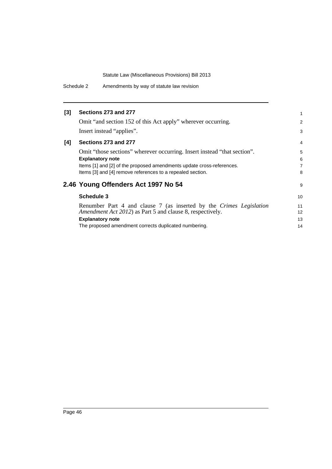Schedule 2 Amendments by way of statute law revision

| $\overline{2}$  |
|-----------------|
| 3               |
| $\overline{4}$  |
| 5               |
| 6               |
| $\overline{7}$  |
| 8               |
| 9               |
| 10 <sup>1</sup> |
| 11              |
| 12 <sup>2</sup> |
| 13              |
| 14              |
|                 |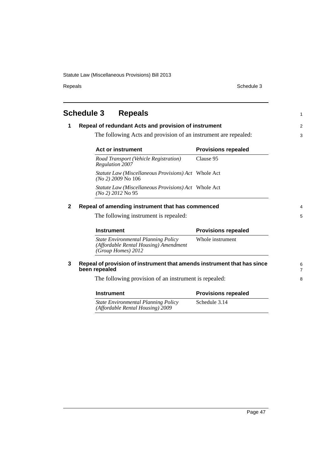Repeals Schedule 3

<span id="page-52-0"></span>**Schedule 3 Repeals 1 Repeal of redundant Acts and provision of instrument** The following Acts and provision of an instrument are repealed: **2 Repeal of amending instrument that has commenced** The following instrument is repealed: **3 Repeal of provision of instrument that amends instrument that has since been repealed** The following provision of an instrument is repealed: **Act or instrument Provisions repealed** *Road Transport (Vehicle Registration) Regulation 2007* Clause 95 *Statute Law (Miscellaneous Provisions) Act*  Whole Act *(No 2) 2009* No 106 *Statute Law (Miscellaneous Provisions) Act*  Whole Act *(No 2) 2012* No 95 **Instrument Provisions repealed** *State Environmental Planning Policy (Affordable Rental Housing) Amendment (Group Homes) 2012* Whole instrument **Instrument Provisions repealed** *State Environmental Planning Policy (Affordable Rental Housing) 2009* Schedule 3.14 1 2 3 4 5 6 7 8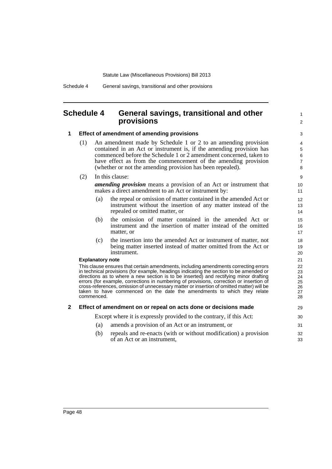### <span id="page-53-0"></span>**Schedule 4 General savings, transitional and other provisions**

#### **1 Effect of amendment of amending provisions**

- (1) An amendment made by Schedule 1 or 2 to an amending provision contained in an Act or instrument is, if the amending provision has commenced before the Schedule 1 or 2 amendment concerned, taken to have effect as from the commencement of the amending provision (whether or not the amending provision has been repealed).
- (2) In this clause:

*amending provision* means a provision of an Act or instrument that makes a direct amendment to an Act or instrument by:

1  $\mathfrak{p}$ 

- (a) the repeal or omission of matter contained in the amended Act or instrument without the insertion of any matter instead of the repealed or omitted matter, or
- (b) the omission of matter contained in the amended Act or instrument and the insertion of matter instead of the omitted matter, or
- (c) the insertion into the amended Act or instrument of matter, not being matter inserted instead of matter omitted from the Act or instrument.

#### **Explanatory note**

This clause ensures that certain amendments, including amendments correcting errors in technical provisions (for example, headings indicating the section to be amended or directions as to where a new section is to be inserted) and rectifying minor drafting errors (for example, corrections in numbering of provisions, correction or insertion of cross-references, omission of unnecessary matter or insertion of omitted matter) will be taken to have commenced on the date the amendments to which they relate commenced.

#### **2 Effect of amendment on or repeal on acts done or decisions made**

Except where it is expressly provided to the contrary, if this Act:

- (a) amends a provision of an Act or an instrument, or
- (b) repeals and re-enacts (with or without modification) a provision of an Act or an instrument,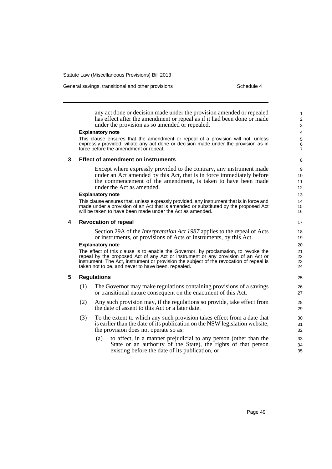General savings, transitional and other provisions Schedule 4

any act done or decision made under the provision amended or repealed has effect after the amendment or repeal as if it had been done or made under the provision as so amended or repealed.

#### **Explanatory note**

This clause ensures that the amendment or repeal of a provision will not, unless expressly provided, vitiate any act done or decision made under the provision as in force before the amendment or repeal.

#### **3 Effect of amendment on instruments**

Except where expressly provided to the contrary, any instrument made under an Act amended by this Act, that is in force immediately before the commencement of the amendment, is taken to have been made under the Act as amended.

#### **Explanatory note**

This clause ensures that, unless expressly provided, any instrument that is in force and made under a provision of an Act that is amended or substituted by the proposed Act will be taken to have been made under the Act as amended.

#### **4 Revocation of repeal**

Section 29A of the *Interpretation Act 1987* applies to the repeal of Acts or instruments, or provisions of Acts or instruments, by this Act.

#### **Explanatory note**

The effect of this clause is to enable the Governor, by proclamation, to revoke the repeal by the proposed Act of any Act or instrument or any provision of an Act or instrument. The Act, instrument or provision the subject of the revocation of repeal is taken not to be, and never to have been, repealed.

### **5 Regulations**

- (1) The Governor may make regulations containing provisions of a savings or transitional nature consequent on the enactment of this Act.
- (2) Any such provision may, if the regulations so provide, take effect from the date of assent to this Act or a later date.
- (3) To the extent to which any such provision takes effect from a date that is earlier than the date of its publication on the NSW legislation website, the provision does not operate so as:
	- (a) to affect, in a manner prejudicial to any person (other than the State or an authority of the State), the rights of that person existing before the date of its publication, or